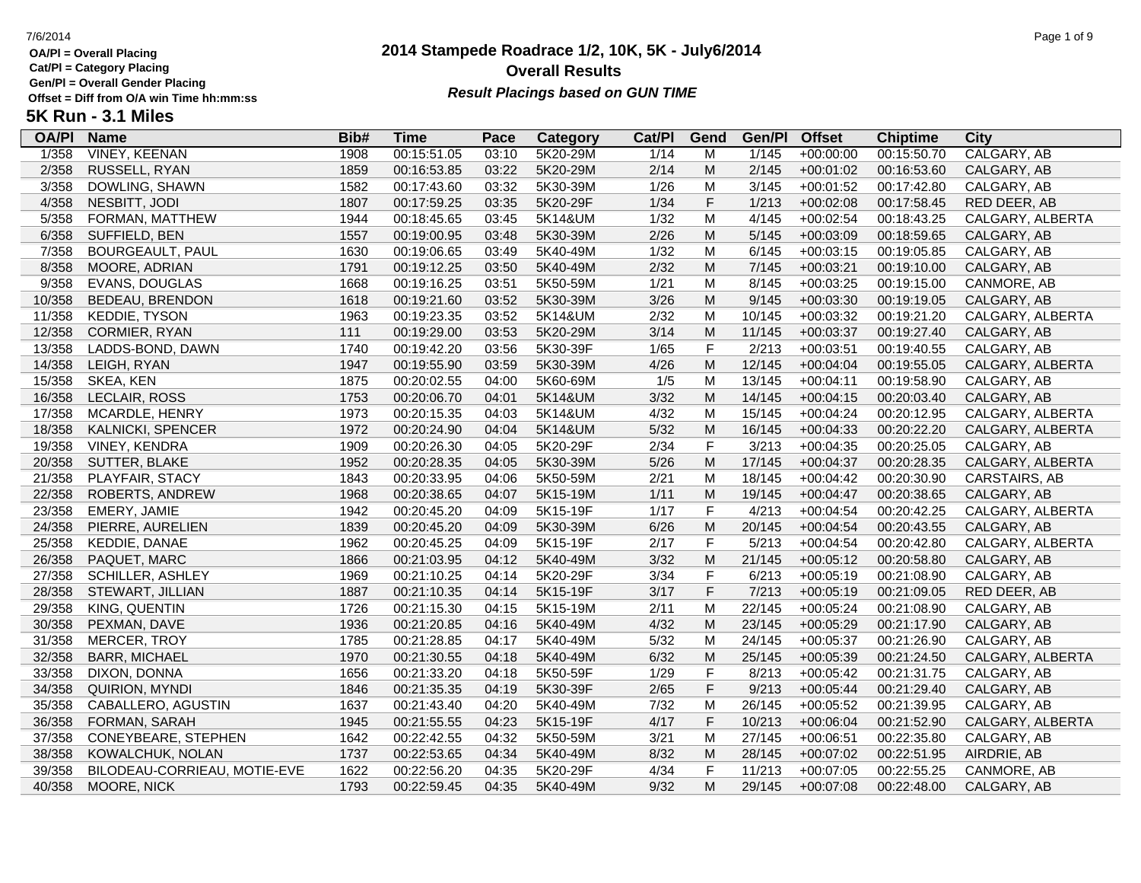**Cat/Pl = Category Placing**

**Gen/Pl = Overall Gender Placing**

**5K Run - 3.1 Miles**

# **2014 Stampede Roadrace 1/2, 10K, 5K - July6/2014** 7/6/2014 Page 1 of 9 **Overall Results** Gen/PI = Overall Gender Placing<br>Offset = Diff from O/A win Time hh:mm:ss *Result Placings based on GUN TIME*

| <b>OA/PI</b> | <b>Name</b>                  | Bib# | <b>Time</b> | Pace  | Category | Cat/PI | Gend      | Gen/Pl | <b>Offset</b> | <b>Chiptime</b> | <b>City</b>      |
|--------------|------------------------------|------|-------------|-------|----------|--------|-----------|--------|---------------|-----------------|------------------|
| 1/358        | <b>VINEY, KEENAN</b>         | 1908 | 00:15:51.05 | 03:10 | 5K20-29M | 1/14   | M         | 1/145  | $+00:00:00$   | 00:15:50.70     | CALGARY, AB      |
| 2/358        | RUSSELL, RYAN                | 1859 | 00:16:53.85 | 03:22 | 5K20-29M | 2/14   | M         | 2/145  | $+00:01:02$   | 00:16:53.60     | CALGARY, AB      |
| 3/358        | DOWLING, SHAWN               | 1582 | 00:17:43.60 | 03:32 | 5K30-39M | 1/26   | M         | 3/145  | $+00:01:52$   | 00:17:42.80     | CALGARY, AB      |
| 4/358        | NESBITT, JODI                | 1807 | 00:17:59.25 | 03:35 | 5K20-29F | 1/34   | F.        | 1/213  | $+00:02:08$   | 00:17:58.45     | RED DEER, AB     |
| 5/358        | FORMAN, MATTHEW              | 1944 | 00:18:45.65 | 03:45 | 5K14&UM  | 1/32   | M         | 4/145  | $+00:02:54$   | 00:18:43.25     | CALGARY, ALBERTA |
| 6/358        | SUFFIELD, BEN                | 1557 | 00:19:00.95 | 03:48 | 5K30-39M | 2/26   | ${\sf M}$ | 5/145  | $+00:03:09$   | 00:18:59.65     | CALGARY, AB      |
| 7/358        | <b>BOURGEAULT, PAUL</b>      | 1630 | 00:19:06.65 | 03:49 | 5K40-49M | 1/32   | ${\sf M}$ | 6/145  | $+00:03:15$   | 00:19:05.85     | CALGARY, AB      |
| 8/358        | MOORE, ADRIAN                | 1791 | 00:19:12.25 | 03:50 | 5K40-49M | 2/32   | M         | 7/145  | $+00:03:21$   | 00:19:10.00     | CALGARY, AB      |
| 9/358        | <b>EVANS, DOUGLAS</b>        | 1668 | 00:19:16.25 | 03:51 | 5K50-59M | 1/21   | M         | 8/145  | $+00:03:25$   | 00:19:15.00     | CANMORE, AB      |
| 10/358       | BEDEAU, BRENDON              | 1618 | 00:19:21.60 | 03:52 | 5K30-39M | 3/26   | M         | 9/145  | $+00:03:30$   | 00:19:19.05     | CALGARY, AB      |
| 11/358       | <b>KEDDIE, TYSON</b>         | 1963 | 00:19:23.35 | 03:52 | 5K14&UM  | 2/32   | M         | 10/145 | $+00:03:32$   | 00:19:21.20     | CALGARY, ALBERTA |
| 12/358       | CORMIER, RYAN                | 111  | 00:19:29.00 | 03:53 | 5K20-29M | 3/14   | ${\sf M}$ | 11/145 | $+00:03:37$   | 00:19:27.40     | CALGARY, AB      |
| 13/358       | LADDS-BOND, DAWN             | 1740 | 00:19:42.20 | 03:56 | 5K30-39F | 1/65   | F         | 2/213  | $+00:03:51$   | 00:19:40.55     | CALGARY, AB      |
| 14/358       | LEIGH, RYAN                  | 1947 | 00:19:55.90 | 03:59 | 5K30-39M | 4/26   | ${\sf M}$ | 12/145 | $+00:04:04$   | 00:19:55.05     | CALGARY, ALBERTA |
| 15/358       | SKEA, KEN                    | 1875 | 00:20:02.55 | 04:00 | 5K60-69M | 1/5    | M         | 13/145 | $+00:04:11$   | 00:19:58.90     | CALGARY, AB      |
| 16/358       | LECLAIR, ROSS                | 1753 | 00:20:06.70 | 04:01 | 5K14&UM  | 3/32   | ${\sf M}$ | 14/145 | $+00:04:15$   | 00:20:03.40     | CALGARY, AB      |
| 17/358       | <b>MCARDLE, HENRY</b>        | 1973 | 00:20:15.35 | 04:03 | 5K14&UM  | 4/32   | M         | 15/145 | $+00:04:24$   | 00:20:12.95     | CALGARY, ALBERTA |
| 18/358       | KALNICKI, SPENCER            | 1972 | 00:20:24.90 | 04:04 | 5K14&UM  | $5/32$ | M         | 16/145 | $+00:04:33$   | 00:20:22.20     | CALGARY, ALBERTA |
| 19/358       | VINEY, KENDRA                | 1909 | 00:20:26.30 | 04:05 | 5K20-29F | 2/34   | F         | 3/213  | $+00:04:35$   | 00:20:25.05     | CALGARY, AB      |
| 20/358       | SUTTER, BLAKE                | 1952 | 00:20:28.35 | 04:05 | 5K30-39M | 5/26   | ${\sf M}$ | 17/145 | $+00:04:37$   | 00:20:28.35     | CALGARY, ALBERTA |
| 21/358       | PLAYFAIR, STACY              | 1843 | 00:20:33.95 | 04:06 | 5K50-59M | 2/21   | M         | 18/145 | $+00:04:42$   | 00:20:30.90     | CARSTAIRS, AB    |
| 22/358       | ROBERTS, ANDREW              | 1968 | 00:20:38.65 | 04:07 | 5K15-19M | 1/11   | ${\sf M}$ | 19/145 | $+00:04:47$   | 00:20:38.65     | CALGARY, AB      |
| 23/358       | EMERY, JAMIE                 | 1942 | 00:20:45.20 | 04:09 | 5K15-19F | 1/17   | F         | 4/213  | $+00:04:54$   | 00:20:42.25     | CALGARY, ALBERTA |
| 24/358       | PIERRE, AURELIEN             | 1839 | 00:20:45.20 | 04:09 | 5K30-39M | 6/26   | M         | 20/145 | $+00:04:54$   | 00:20:43.55     | CALGARY, AB      |
| 25/358       | KEDDIE, DANAE                | 1962 | 00:20:45.25 | 04:09 | 5K15-19F | 2/17   | F         | 5/213  | $+00:04:54$   | 00:20:42.80     | CALGARY, ALBERTA |
| 26/358       | PAQUET, MARC                 | 1866 | 00:21:03.95 | 04:12 | 5K40-49M | 3/32   | ${\sf M}$ | 21/145 | $+00:05:12$   | 00:20:58.80     | CALGARY, AB      |
| 27/358       | SCHILLER, ASHLEY             | 1969 | 00:21:10.25 | 04:14 | 5K20-29F | 3/34   | F         | 6/213  | $+00:05:19$   | 00:21:08.90     | CALGARY, AB      |
| 28/358       | STEWART, JILLIAN             | 1887 | 00:21:10.35 | 04:14 | 5K15-19F | 3/17   | F         | 7/213  | $+00:05:19$   | 00:21:09.05     | RED DEER, AB     |
| 29/358       | KING, QUENTIN                | 1726 | 00:21:15.30 | 04:15 | 5K15-19M | 2/11   | M         | 22/145 | $+00:05:24$   | 00:21:08.90     | CALGARY, AB      |
| 30/358       | PEXMAN, DAVE                 | 1936 | 00:21:20.85 | 04:16 | 5K40-49M | 4/32   | M         | 23/145 | $+00:05:29$   | 00:21:17.90     | CALGARY, AB      |
| 31/358       | <b>MERCER, TROY</b>          | 1785 | 00:21:28.85 | 04:17 | 5K40-49M | $5/32$ | M         | 24/145 | $+00:05:37$   | 00:21:26.90     | CALGARY, AB      |
| 32/358       | <b>BARR, MICHAEL</b>         | 1970 | 00:21:30.55 | 04:18 | 5K40-49M | 6/32   | ${\sf M}$ | 25/145 | $+00:05:39$   | 00:21:24.50     | CALGARY, ALBERTA |
| 33/358       | DIXON, DONNA                 | 1656 | 00:21:33.20 | 04:18 | 5K50-59F | 1/29   | F         | 8/213  | $+00:05:42$   | 00:21:31.75     | CALGARY, AB      |
| 34/358       | <b>QUIRION, MYNDI</b>        | 1846 | 00:21:35.35 | 04:19 | 5K30-39F | 2/65   | F         | 9/213  | $+00:05:44$   | 00:21:29.40     | CALGARY, AB      |
| 35/358       | CABALLERO, AGUSTIN           | 1637 | 00:21:43.40 | 04:20 | 5K40-49M | $7/32$ | M         | 26/145 | $+00:05:52$   | 00:21:39.95     | CALGARY, AB      |
| 36/358       | FORMAN, SARAH                | 1945 | 00:21:55.55 | 04:23 | 5K15-19F | 4/17   | F         | 10/213 | $+00:06:04$   | 00:21:52.90     | CALGARY, ALBERTA |
| 37/358       | CONEYBEARE, STEPHEN          | 1642 | 00:22:42.55 | 04:32 | 5K50-59M | 3/21   | M         | 27/145 | $+00:06:51$   | 00:22:35.80     | CALGARY, AB      |
| 38/358       | KOWALCHUK, NOLAN             | 1737 | 00:22:53.65 | 04:34 | 5K40-49M | 8/32   | ${\sf M}$ | 28/145 | $+00:07:02$   | 00:22:51.95     | AIRDRIE, AB      |
| 39/358       | BILODEAU-CORRIEAU, MOTIE-EVE | 1622 | 00:22:56.20 | 04:35 | 5K20-29F | 4/34   | F         | 11/213 | $+00:07:05$   | 00:22:55.25     | CANMORE, AB      |
| 40/358       | <b>MOORE, NICK</b>           | 1793 | 00:22:59.45 | 04:35 | 5K40-49M | 9/32   | M         | 29/145 | $+00:07:08$   | 00:22:48.00     | CALGARY, AB      |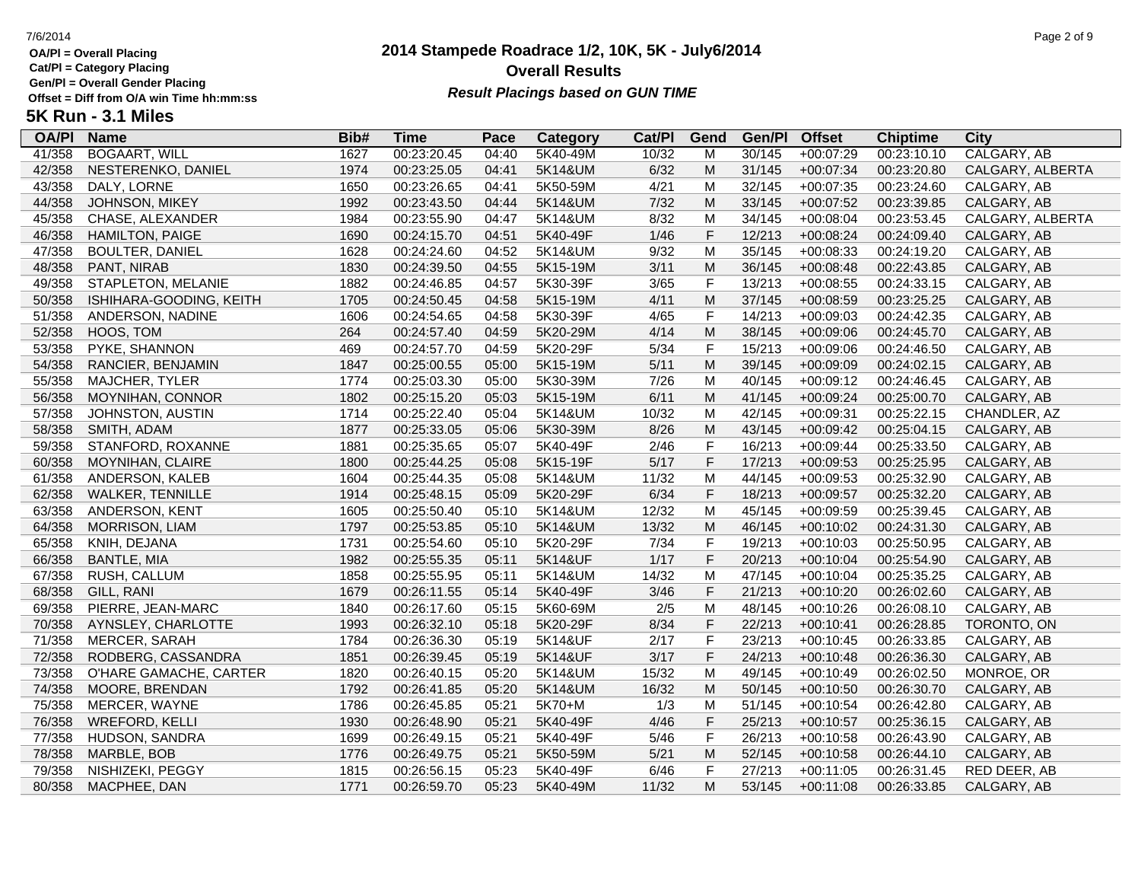**Cat/Pl = Category Placing**

**Gen/Pl = Overall Gender Placing**

# **2014 Stampede Roadrace 1/2, 10K, 5K - July6/2014** 7/6/2014 Page 2 of 9 **Overall Results Result Placings based on GUN TIME**

| 5K Run - 3.1 Miles |  |
|--------------------|--|
|--------------------|--|

| <b>OA/PI</b> | <b>Name</b>             | Bib# | <b>Time</b> | Pace  | Category | Cat/PI | Gend                    | Gen/Pl | <b>Offset</b> | <b>Chiptime</b> | <b>City</b>        |
|--------------|-------------------------|------|-------------|-------|----------|--------|-------------------------|--------|---------------|-----------------|--------------------|
| 41/358       | <b>BOGAART, WILL</b>    | 1627 | 00:23:20.45 | 04:40 | 5K40-49M | 10/32  | M                       | 30/145 | $+00:07:29$   | 00:23:10.10     | <b>CALGARY, AB</b> |
| 42/358       | NESTERENKO, DANIEL      | 1974 | 00:23:25.05 | 04:41 | 5K14&UM  | 6/32   | M                       | 31/145 | $+00:07:34$   | 00:23:20.80     | CALGARY, ALBERTA   |
| 43/358       | DALY, LORNE             | 1650 | 00:23:26.65 | 04:41 | 5K50-59M | 4/21   | M                       | 32/145 | $+00:07:35$   | 00:23:24.60     | CALGARY, AB        |
| 44/358       | JOHNSON, MIKEY          | 1992 | 00:23:43.50 | 04:44 | 5K14&UM  | $7/32$ | M                       | 33/145 | $+00:07:52$   | 00:23:39.85     | CALGARY, AB        |
| 45/358       | CHASE, ALEXANDER        | 1984 | 00:23:55.90 | 04:47 | 5K14&UM  | 8/32   | M                       | 34/145 | $+00:08:04$   | 00:23:53.45     | CALGARY, ALBERTA   |
| 46/358       | <b>HAMILTON, PAIGE</b>  | 1690 | 00:24:15.70 | 04:51 | 5K40-49F | 1/46   | $\mathsf F$             | 12/213 | $+00:08:24$   | 00:24:09.40     | CALGARY, AB        |
| 47/358       | <b>BOULTER, DANIEL</b>  | 1628 | 00:24:24.60 | 04:52 | 5K14&UM  | 9/32   | M                       | 35/145 | $+00:08:33$   | 00:24:19.20     | CALGARY, AB        |
| 48/358       | PANT, NIRAB             | 1830 | 00:24:39.50 | 04:55 | 5K15-19M | 3/11   | M                       | 36/145 | $+00:08:48$   | 00:22:43.85     | CALGARY, AB        |
| 49/358       | STAPLETON, MELANIE      | 1882 | 00:24:46.85 | 04:57 | 5K30-39F | 3/65   | $\mathsf F$             | 13/213 | $+00:08:55$   | 00:24:33.15     | CALGARY, AB        |
| 50/358       | ISHIHARA-GOODING, KEITH | 1705 | 00:24:50.45 | 04:58 | 5K15-19M | 4/11   | M                       | 37/145 | $+00:08:59$   | 00:23:25.25     | CALGARY, AB        |
| 51/358       | ANDERSON, NADINE        | 1606 | 00:24:54.65 | 04:58 | 5K30-39F | 4/65   | $\mathsf F$             | 14/213 | $+00:09:03$   | 00:24:42.35     | CALGARY, AB        |
| 52/358       | HOOS, TOM               | 264  | 00:24:57.40 | 04:59 | 5K20-29M | 4/14   | M                       | 38/145 | $+00:09:06$   | 00:24:45.70     | CALGARY, AB        |
| 53/358       | PYKE, SHANNON           | 469  | 00:24:57.70 | 04:59 | 5K20-29F | 5/34   | $\mathsf F$             | 15/213 | $+00:09:06$   | 00:24:46.50     | CALGARY, AB        |
| 54/358       | RANCIER, BENJAMIN       | 1847 | 00:25:00.55 | 05:00 | 5K15-19M | 5/11   | M                       | 39/145 | $+00:09:09$   | 00:24:02.15     | CALGARY, AB        |
| 55/358       | MAJCHER, TYLER          | 1774 | 00:25:03.30 | 05:00 | 5K30-39M | 7/26   | M                       | 40/145 | $+00:09:12$   | 00:24:46.45     | CALGARY, AB        |
| 56/358       | MOYNIHAN, CONNOR        | 1802 | 00:25:15.20 | 05:03 | 5K15-19M | 6/11   | M                       | 41/145 | $+00:09:24$   | 00:25:00.70     | CALGARY, AB        |
| 57/358       | JOHNSTON, AUSTIN        | 1714 | 00:25:22.40 | 05:04 | 5K14&UM  | 10/32  | M                       | 42/145 | $+00:09:31$   | 00:25:22.15     | CHANDLER, AZ       |
| 58/358       | SMITH, ADAM             | 1877 | 00:25:33.05 | 05:06 | 5K30-39M | 8/26   | M                       | 43/145 | $+00:09:42$   | 00:25:04.15     | CALGARY, AB        |
| 59/358       | STANFORD, ROXANNE       | 1881 | 00:25:35.65 | 05:07 | 5K40-49F | 2/46   | $\mathsf F$             | 16/213 | $+00:09:44$   | 00:25:33.50     | CALGARY, AB        |
| 60/358       | MOYNIHAN, CLAIRE        | 1800 | 00:25:44.25 | 05:08 | 5K15-19F | 5/17   | $\mathsf F$             | 17/213 | $+00:09:53$   | 00:25:25.95     | CALGARY, AB        |
| 61/358       | ANDERSON, KALEB         | 1604 | 00:25:44.35 | 05:08 | 5K14&UM  | 11/32  | M                       | 44/145 | $+00:09:53$   | 00:25:32.90     | CALGARY, AB        |
| 62/358       | WALKER, TENNILLE        | 1914 | 00:25:48.15 | 05:09 | 5K20-29F | 6/34   | $\mathsf F$             | 18/213 | +00:09:57     | 00:25:32.20     | CALGARY, AB        |
| 63/358       | ANDERSON, KENT          | 1605 | 00:25:50.40 | 05:10 | 5K14&UM  | 12/32  | M                       | 45/145 | $+00:09:59$   | 00:25:39.45     | CALGARY, AB        |
| 64/358       | MORRISON, LIAM          | 1797 | 00:25:53.85 | 05:10 | 5K14&UM  | 13/32  | M                       | 46/145 | $+00:10:02$   | 00:24:31.30     | CALGARY, AB        |
| 65/358       | KNIH, DEJANA            | 1731 | 00:25:54.60 | 05:10 | 5K20-29F | 7/34   | $\mathsf F$             | 19/213 | $+00:10:03$   | 00:25:50.95     | CALGARY, AB        |
| 66/358       | <b>BANTLE, MIA</b>      | 1982 | 00:25:55.35 | 05:11 | 5K14&UF  | 1/17   | $\mathsf F$             | 20/213 | $+00:10:04$   | 00:25:54.90     | CALGARY, AB        |
| 67/358       | RUSH, CALLUM            | 1858 | 00:25:55.95 | 05:11 | 5K14&UM  | 14/32  | M                       | 47/145 | $+00:10:04$   | 00:25:35.25     | CALGARY, AB        |
| 68/358       | GILL, RANI              | 1679 | 00:26:11.55 | 05:14 | 5K40-49F | 3/46   | $\mathsf F$             | 21/213 | $+00:10:20$   | 00:26:02.60     | CALGARY, AB        |
| 69/358       | PIERRE, JEAN-MARC       | 1840 | 00:26:17.60 | 05:15 | 5K60-69M | 2/5    | M                       | 48/145 | $+00:10:26$   | 00:26:08.10     | CALGARY, AB        |
| 70/358       | AYNSLEY, CHARLOTTE      | 1993 | 00:26:32.10 | 05:18 | 5K20-29F | 8/34   | $\mathsf F$             | 22/213 | $+00:10:41$   | 00:26:28.85     | TORONTO, ON        |
| 71/358       | MERCER, SARAH           | 1784 | 00:26:36.30 | 05:19 | 5K14&UF  | 2/17   | $\overline{\mathsf{F}}$ | 23/213 | $+00:10:45$   | 00:26:33.85     | CALGARY, AB        |
| 72/358       | RODBERG, CASSANDRA      | 1851 | 00:26:39.45 | 05:19 | 5K14&UF  | 3/17   | $\mathsf F$             | 24/213 | $+00:10:48$   | 00:26:36.30     | CALGARY, AB        |
| 73/358       | O'HARE GAMACHE, CARTER  | 1820 | 00:26:40.15 | 05:20 | 5K14&UM  | 15/32  | M                       | 49/145 | $+00:10:49$   | 00:26:02.50     | MONROE, OR         |
| 74/358       | MOORE, BRENDAN          | 1792 | 00:26:41.85 | 05:20 | 5K14&UM  | 16/32  | M                       | 50/145 | $+00:10:50$   | 00:26:30.70     | CALGARY, AB        |
| 75/358       | MERCER, WAYNE           | 1786 | 00:26:45.85 | 05:21 | 5K70+M   | 1/3    | M                       | 51/145 | $+00:10:54$   | 00:26:42.80     | CALGARY, AB        |
| 76/358       | <b>WREFORD, KELLI</b>   | 1930 | 00:26:48.90 | 05:21 | 5K40-49F | 4/46   | $\mathsf F$             | 25/213 | $+00:10:57$   | 00:25:36.15     | CALGARY, AB        |
| 77/358       | HUDSON, SANDRA          | 1699 | 00:26:49.15 | 05:21 | 5K40-49F | $5/46$ | $\mathsf F$             | 26/213 | $+00:10:58$   | 00:26:43.90     | CALGARY, AB        |
| 78/358       | MARBLE, BOB             | 1776 | 00:26:49.75 | 05:21 | 5K50-59M | 5/21   | M                       | 52/145 | $+00:10:58$   | 00:26:44.10     | CALGARY, AB        |
| 79/358       | NISHIZEKI, PEGGY        | 1815 | 00:26:56.15 | 05:23 | 5K40-49F | 6/46   | $\mathsf F$             | 27/213 | $+00:11:05$   | 00:26:31.45     | RED DEER, AB       |
| 80/358       | MACPHEE, DAN            | 1771 | 00:26:59.70 | 05:23 | 5K40-49M | 11/32  | M                       | 53/145 | $+00:11:08$   | 00:26:33.85     | CALGARY, AB        |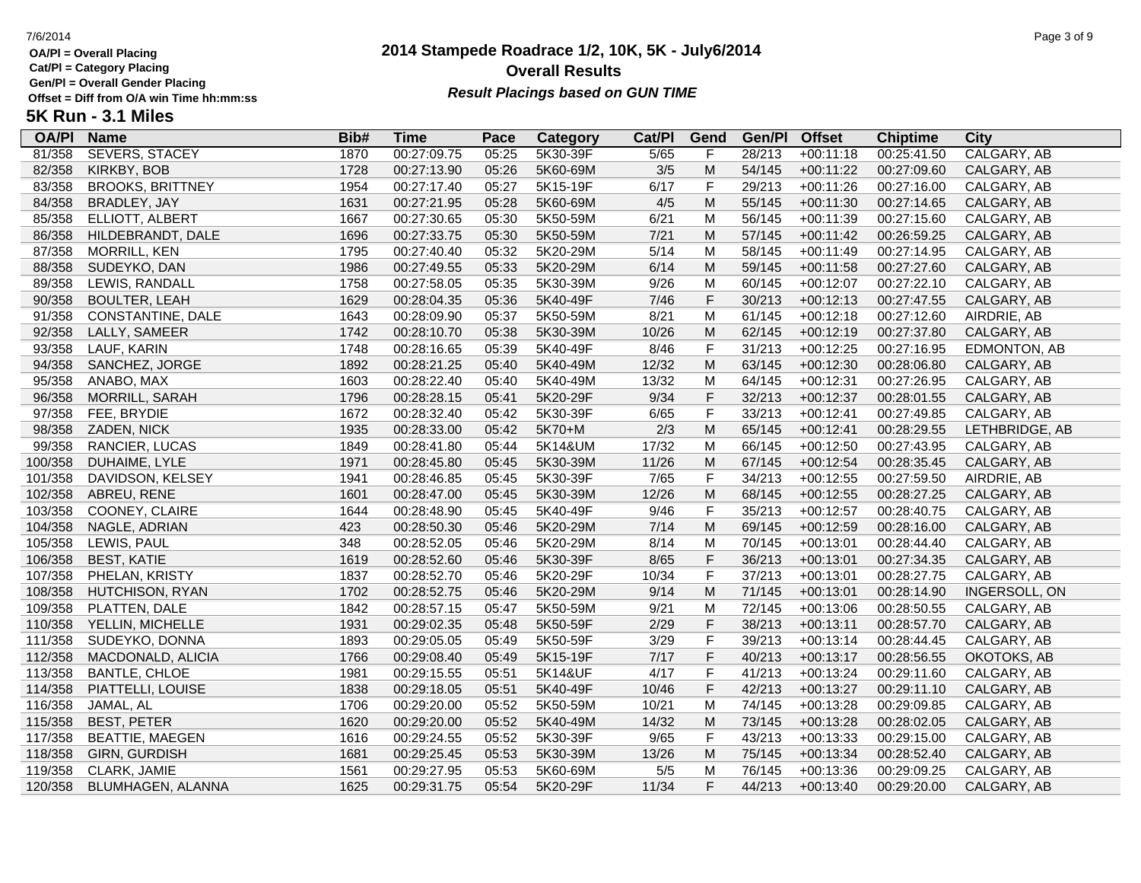**Cat/Pl = Category Placing**

**Gen/Pl = Overall Gender Placing**

# **2014 Stampede Roadrace 1/2, 10K, 5K - July6/2014** 7/6/2014 Page 3 of 9 **Overall Results Result Placings based on GUN TIME**

| <b>OA/PI</b> | <b>Name</b>             | Bib# | Time        | Pace  | Category | Cat/PI | Gend           | Gen/Pl | <b>Offset</b> | <b>Chiptime</b> | City           |
|--------------|-------------------------|------|-------------|-------|----------|--------|----------------|--------|---------------|-----------------|----------------|
| 81/358       | <b>SEVERS, STACEY</b>   | 1870 | 00:27:09.75 | 05:25 | 5K30-39F | 5/65   | F              | 28/213 | $+00:11:18$   | 00:25:41.50     | CALGARY, AB    |
| 82/358       | KIRKBY, BOB             | 1728 | 00:27:13.90 | 05:26 | 5K60-69M | 3/5    | ${\sf M}$      | 54/145 | $+00:11:22$   | 00:27:09.60     | CALGARY, AB    |
| 83/358       | <b>BROOKS, BRITTNEY</b> | 1954 | 00:27:17.40 | 05:27 | 5K15-19F | 6/17   | $\mathsf F$    | 29/213 | $+00:11:26$   | 00:27:16.00     | CALGARY, AB    |
| 84/358       | BRADLEY, JAY            | 1631 | 00:27:21.95 | 05:28 | 5K60-69M | 4/5    | ${\sf M}$      | 55/145 | $+00:11:30$   | 00:27:14.65     | CALGARY, AB    |
| 85/358       | ELLIOTT, ALBERT         | 1667 | 00:27:30.65 | 05:30 | 5K50-59M | 6/21   | M              | 56/145 | $+00:11:39$   | 00:27:15.60     | CALGARY, AB    |
| 86/358       | HILDEBRANDT, DALE       | 1696 | 00:27:33.75 | 05:30 | 5K50-59M | 7/21   | M              | 57/145 | $+00:11:42$   | 00:26:59.25     | CALGARY, AB    |
| 87/358       | MORRILL, KEN            | 1795 | 00:27:40.40 | 05:32 | 5K20-29M | 5/14   | M              | 58/145 | $+00:11:49$   | 00:27:14.95     | CALGARY, AB    |
| 88/358       | SUDEYKO, DAN            | 1986 | 00:27:49.55 | 05:33 | 5K20-29M | 6/14   | ${\sf M}$      | 59/145 | $+00:11:58$   | 00:27:27.60     | CALGARY, AB    |
| 89/358       | LEWIS, RANDALL          | 1758 | 00:27:58.05 | 05:35 | 5K30-39M | 9/26   | M              | 60/145 | $+00:12:07$   | 00:27:22.10     | CALGARY, AB    |
| 90/358       | <b>BOULTER, LEAH</b>    | 1629 | 00:28:04.35 | 05:36 | 5K40-49F | 7/46   | $\mathsf F$    | 30/213 | $+00:12:13$   | 00:27:47.55     | CALGARY, AB    |
| 91/358       | CONSTANTINE, DALE       | 1643 | 00:28:09.90 | 05:37 | 5K50-59M | 8/21   | M              | 61/145 | $+00:12:18$   | 00:27:12.60     | AIRDRIE, AB    |
| 92/358       | LALLY, SAMEER           | 1742 | 00:28:10.70 | 05:38 | 5K30-39M | 10/26  | M              | 62/145 | $+00:12:19$   | 00:27:37.80     | CALGARY, AB    |
| 93/358       | LAUF, KARIN             | 1748 | 00:28:16.65 | 05:39 | 5K40-49F | 8/46   | $\mathsf F$    | 31/213 | $+00:12:25$   | 00:27:16.95     | EDMONTON, AB   |
| 94/358       | SANCHEZ, JORGE          | 1892 | 00:28:21.25 | 05:40 | 5K40-49M | 12/32  | ${\sf M}$      | 63/145 | $+00:12:30$   | 00:28:06.80     | CALGARY, AB    |
| 95/358       | ANABO, MAX              | 1603 | 00:28:22.40 | 05:40 | 5K40-49M | 13/32  | M              | 64/145 | $+00:12:31$   | 00:27:26.95     | CALGARY, AB    |
| 96/358       | MORRILL, SARAH          | 1796 | 00:28:28.15 | 05:41 | 5K20-29F | 9/34   | $\mathsf F$    | 32/213 | $+00:12:37$   | 00:28:01.55     | CALGARY, AB    |
| 97/358       | FEE, BRYDIE             | 1672 | 00:28:32.40 | 05:42 | 5K30-39F | 6/65   | $\mathsf F$    | 33/213 | $+00:12:41$   | 00:27:49.85     | CALGARY, AB    |
| 98/358       | ZADEN, NICK             | 1935 | 00:28:33.00 | 05:42 | 5K70+M   | 2/3    | ${\sf M}$      | 65/145 | $+00:12:41$   | 00:28:29.55     | LETHBRIDGE, AB |
| 99/358       | RANCIER, LUCAS          | 1849 | 00:28:41.80 | 05:44 | 5K14&UM  | 17/32  | M              | 66/145 | $+00:12:50$   | 00:27:43.95     | CALGARY, AB    |
| 100/358      | DUHAIME, LYLE           | 1971 | 00:28:45.80 | 05:45 | 5K30-39M | 11/26  | M              | 67/145 | $+00:12:54$   | 00:28:35.45     | CALGARY, AB    |
| 101/358      | DAVIDSON, KELSEY        | 1941 | 00:28:46.85 | 05:45 | 5K30-39F | 7/65   | $\mathsf F$    | 34/213 | $+00:12:55$   | 00:27:59.50     | AIRDRIE, AB    |
| 102/358      | ABREU, RENE             | 1601 | 00:28:47.00 | 05:45 | 5K30-39M | 12/26  | ${\sf M}$      | 68/145 | $+00:12:55$   | 00:28:27.25     | CALGARY, AB    |
| 103/358      | COONEY, CLAIRE          | 1644 | 00:28:48.90 | 05:45 | 5K40-49F | 9/46   | $\mathsf F$    | 35/213 | $+00:12:57$   | 00:28:40.75     | CALGARY, AB    |
| 104/358      | NAGLE, ADRIAN           | 423  | 00:28:50.30 | 05:46 | 5K20-29M | 7/14   | ${\sf M}$      | 69/145 | $+00:12:59$   | 00:28:16.00     | CALGARY, AB    |
| 105/358      | LEWIS, PAUL             | 348  | 00:28:52.05 | 05:46 | 5K20-29M | 8/14   | M              | 70/145 | $+00:13:01$   | 00:28:44.40     | CALGARY, AB    |
| 106/358      | <b>BEST, KATIE</b>      | 1619 | 00:28:52.60 | 05:46 | 5K30-39F | 8/65   | $\mathsf F$    | 36/213 | $+00:13:01$   | 00:27:34.35     | CALGARY, AB    |
| 107/358      | PHELAN, KRISTY          | 1837 | 00:28:52.70 | 05:46 | 5K20-29F | 10/34  | $\mathsf F$    | 37/213 | $+00:13:01$   | 00:28:27.75     | CALGARY, AB    |
| 108/358      | HUTCHISON, RYAN         | 1702 | 00:28:52.75 | 05:46 | 5K20-29M | 9/14   | ${\sf M}$      | 71/145 | $+00:13:01$   | 00:28:14.90     | INGERSOLL, ON  |
| 109/358      | PLATTEN, DALE           | 1842 | 00:28:57.15 | 05:47 | 5K50-59M | 9/21   | M              | 72/145 | $+00:13:06$   | 00:28:50.55     | CALGARY, AB    |
| 110/358      | YELLIN, MICHELLE        | 1931 | 00:29:02.35 | 05:48 | 5K50-59F | 2/29   | $\mathsf F$    | 38/213 | $+00:13:11$   | 00:28:57.70     | CALGARY, AB    |
| 111/358      | SUDEYKO, DONNA          | 1893 | 00:29:05.05 | 05:49 | 5K50-59F | 3/29   | F              | 39/213 | $+00:13:14$   | 00:28:44.45     | CALGARY, AB    |
| 112/358      | MACDONALD, ALICIA       | 1766 | 00:29:08.40 | 05:49 | 5K15-19F | 7/17   | $\mathsf F$    | 40/213 | $+00:13:17$   | 00:28:56.55     | OKOTOKS, AB    |
| 113/358      | <b>BANTLE, CHLOE</b>    | 1981 | 00:29:15.55 | 05:51 | 5K14&UF  | 4/17   | $\overline{F}$ | 41/213 | $+00:13:24$   | 00:29:11.60     | CALGARY, AB    |
| 114/358      | PIATTELLI, LOUISE       | 1838 | 00:29:18.05 | 05:51 | 5K40-49F | 10/46  | $\mathsf F$    | 42/213 | $+00:13:27$   | 00:29:11.10     | CALGARY, AB    |
| 116/358      | JAMAL, AL               | 1706 | 00:29:20.00 | 05:52 | 5K50-59M | 10/21  | M              | 74/145 | $+00:13:28$   | 00:29:09.85     | CALGARY, AB    |
| 115/358      | <b>BEST, PETER</b>      | 1620 | 00:29:20.00 | 05:52 | 5K40-49M | 14/32  | M              | 73/145 | $+00:13:28$   | 00:28:02.05     | CALGARY, AB    |
| 117/358      | <b>BEATTIE, MAEGEN</b>  | 1616 | 00:29:24.55 | 05:52 | 5K30-39F | 9/65   | $\mathsf F$    | 43/213 | $+00:13:33$   | 00:29:15.00     | CALGARY, AB    |
| 118/358      | <b>GIRN, GURDISH</b>    | 1681 | 00:29:25.45 | 05:53 | 5K30-39M | 13/26  | M              | 75/145 | $+00:13:34$   | 00:28:52.40     | CALGARY, AB    |
| 119/358      | CLARK, JAMIE            | 1561 | 00:29:27.95 | 05:53 | 5K60-69M | 5/5    | M              | 76/145 | $+00:13:36$   | 00:29:09.25     | CALGARY, AB    |
| 120/358      | BLUMHAGEN, ALANNA       | 1625 | 00:29:31.75 | 05:54 | 5K20-29F | 11/34  | F              | 44/213 | $+00:13:40$   | 00:29:20.00     | CALGARY, AB    |
|              |                         |      |             |       |          |        |                |        |               |                 |                |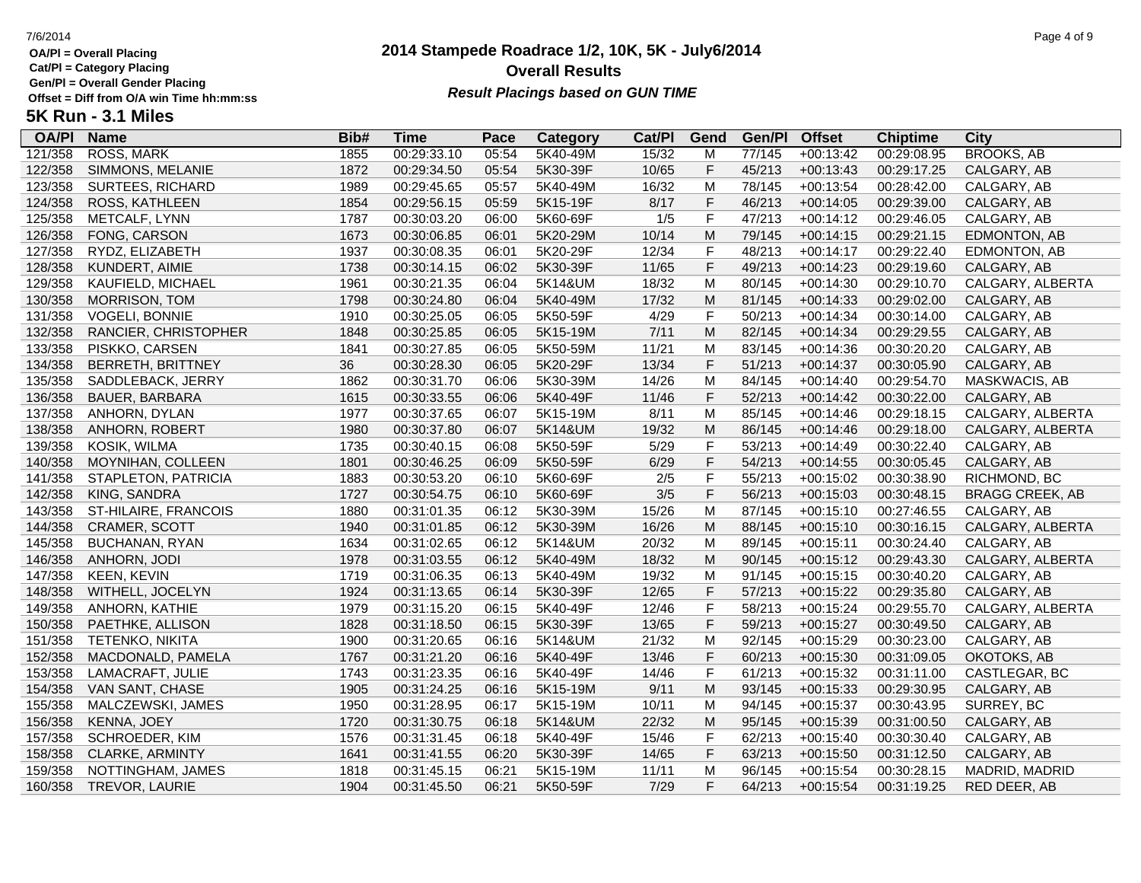**Cat/Pl = Category Placing**

**Gen/Pl = Overall Gender Placing**

# **2014 Stampede Roadrace 1/2, 10K, 5K - July6/2014** 7/6/2014 Page 4 of 9 **Overall Results Result Placings based on GUN TIME**

| <b>OA/PI</b> | <b>Name</b>              | Bib# | Time        | Pace  | Category | Cat/PI | Gend      | Gen/Pl | <b>Offset</b> | <b>Chiptime</b> | City                   |
|--------------|--------------------------|------|-------------|-------|----------|--------|-----------|--------|---------------|-----------------|------------------------|
| 121/358      | <b>ROSS, MARK</b>        | 1855 | 00:29:33.10 | 05:54 | 5K40-49M | 15/32  | M         | 77/145 | $+00:13:42$   | 00:29:08.95     | <b>BROOKS, AB</b>      |
| 122/358      | SIMMONS, MELANIE         | 1872 | 00:29:34.50 | 05:54 | 5K30-39F | 10/65  | F         | 45/213 | $+00:13:43$   | 00:29:17.25     | CALGARY, AB            |
| 123/358      | SURTEES, RICHARD         | 1989 | 00:29:45.65 | 05:57 | 5K40-49M | 16/32  | M         | 78/145 | $+00:13:54$   | 00:28:42.00     | CALGARY, AB            |
| 124/358      | ROSS, KATHLEEN           | 1854 | 00:29:56.15 | 05:59 | 5K15-19F | 8/17   | F         | 46/213 | $+00:14:05$   | 00:29:39.00     | CALGARY, AB            |
| 125/358      | METCALF, LYNN            | 1787 | 00:30:03.20 | 06:00 | 5K60-69F | 1/5    | F         | 47/213 | $+00:14:12$   | 00:29:46.05     | CALGARY, AB            |
| 126/358      | FONG, CARSON             | 1673 | 00:30:06.85 | 06:01 | 5K20-29M | 10/14  | M         | 79/145 | $+00:14:15$   | 00:29:21.15     | EDMONTON, AB           |
| 127/358      | RYDZ, ELIZABETH          | 1937 | 00:30:08.35 | 06:01 | 5K20-29F | 12/34  | F         | 48/213 | $+00:14:17$   | 00:29:22.40     | EDMONTON, AB           |
| 128/358      | KUNDERT, AIMIE           | 1738 | 00:30:14.15 | 06:02 | 5K30-39F | 11/65  | F         | 49/213 | $+00:14:23$   | 00:29:19.60     | CALGARY, AB            |
| 129/358      | KAUFIELD, MICHAEL        | 1961 | 00:30:21.35 | 06:04 | 5K14&UM  | 18/32  | M         | 80/145 | $+00:14:30$   | 00:29:10.70     | CALGARY, ALBERTA       |
| 130/358      | MORRISON, TOM            | 1798 | 00:30:24.80 | 06:04 | 5K40-49M | 17/32  | M         | 81/145 | $+00:14:33$   | 00:29:02.00     | CALGARY, AB            |
| 131/358      | <b>VOGELI, BONNIE</b>    | 1910 | 00:30:25.05 | 06:05 | 5K50-59F | 4/29   | F         | 50/213 | $+00:14:34$   | 00:30:14.00     | CALGARY, AB            |
| 132/358      | RANCIER, CHRISTOPHER     | 1848 | 00:30:25.85 | 06:05 | 5K15-19M | 7/11   | ${\sf M}$ | 82/145 | $+00:14:34$   | 00:29:29.55     | CALGARY, AB            |
| 133/358      | PISKKO, CARSEN           | 1841 | 00:30:27.85 | 06:05 | 5K50-59M | 11/21  | M         | 83/145 | $+00:14:36$   | 00:30:20.20     | CALGARY, AB            |
| 134/358      | <b>BERRETH, BRITTNEY</b> | 36   | 00:30:28.30 | 06:05 | 5K20-29F | 13/34  | F         | 51/213 | $+00:14:37$   | 00:30:05.90     | CALGARY, AB            |
| 135/358      | SADDLEBACK, JERRY        | 1862 | 00:30:31.70 | 06:06 | 5K30-39M | 14/26  | M         | 84/145 | $+00:14:40$   | 00:29:54.70     | MASKWACIS, AB          |
| 136/358      | <b>BAUER, BARBARA</b>    | 1615 | 00:30:33.55 | 06:06 | 5K40-49F | 11/46  | F         | 52/213 | $+00:14:42$   | 00:30:22.00     | CALGARY, AB            |
| 137/358      | ANHORN, DYLAN            | 1977 | 00:30:37.65 | 06:07 | 5K15-19M | 8/11   | M         | 85/145 | $+00:14:46$   | 00:29:18.15     | CALGARY, ALBERTA       |
| 138/358      | ANHORN, ROBERT           | 1980 | 00:30:37.80 | 06:07 | 5K14&UM  | 19/32  | M         | 86/145 | $+00:14:46$   | 00:29:18.00     | CALGARY, ALBERTA       |
| 139/358      | KOSIK, WILMA             | 1735 | 00:30:40.15 | 06:08 | 5K50-59F | 5/29   | F         | 53/213 | $+00:14:49$   | 00:30:22.40     | CALGARY, AB            |
| 140/358      | MOYNIHAN, COLLEEN        | 1801 | 00:30:46.25 | 06:09 | 5K50-59F | 6/29   | F         | 54/213 | $+00:14:55$   | 00:30:05.45     | CALGARY, AB            |
| 141/358      | STAPLETON, PATRICIA      | 1883 | 00:30:53.20 | 06:10 | 5K60-69F | 2/5    | F         | 55/213 | $+00:15:02$   | 00:30:38.90     | RICHMOND, BC           |
| 142/358      | KING, SANDRA             | 1727 | 00:30:54.75 | 06:10 | 5K60-69F | 3/5    | F         | 56/213 | $+00:15:03$   | 00:30:48.15     | <b>BRAGG CREEK, AB</b> |
| 143/358      | ST-HILAIRE, FRANCOIS     | 1880 | 00:31:01.35 | 06:12 | 5K30-39M | 15/26  | M         | 87/145 | $+00:15:10$   | 00:27:46.55     | CALGARY, AB            |
| 144/358      | CRAMER, SCOTT            | 1940 | 00:31:01.85 | 06:12 | 5K30-39M | 16/26  | ${\sf M}$ | 88/145 | $+00:15:10$   | 00:30:16.15     | CALGARY, ALBERTA       |
| 145/358      | BUCHANAN, RYAN           | 1634 | 00:31:02.65 | 06:12 | 5K14&UM  | 20/32  | M         | 89/145 | $+00:15:11$   | 00:30:24.40     | CALGARY, AB            |
| 146/358      | ANHORN, JODI             | 1978 | 00:31:03.55 | 06:12 | 5K40-49M | 18/32  | M         | 90/145 | $+00:15:12$   | 00:29:43.30     | CALGARY, ALBERTA       |
| 147/358      | <b>KEEN, KEVIN</b>       | 1719 | 00:31:06.35 | 06:13 | 5K40-49M | 19/32  | M         | 91/145 | $+00:15:15$   | 00:30:40.20     | CALGARY, AB            |
| 148/358      | WITHELL, JOCELYN         | 1924 | 00:31:13.65 | 06:14 | 5K30-39F | 12/65  | F         | 57/213 | $+00:15:22$   | 00:29:35.80     | CALGARY, AB            |
| 149/358      | ANHORN, KATHIE           | 1979 | 00:31:15.20 | 06:15 | 5K40-49F | 12/46  | F         | 58/213 | $+00:15:24$   | 00:29:55.70     | CALGARY, ALBERTA       |
| 150/358      | PAETHKE, ALLISON         | 1828 | 00:31:18.50 | 06:15 | 5K30-39F | 13/65  | F         | 59/213 | $+00:15:27$   | 00:30:49.50     | CALGARY, AB            |
| 151/358      | TETENKO, NIKITA          | 1900 | 00:31:20.65 | 06:16 | 5K14&UM  | 21/32  | M         | 92/145 | $+00:15:29$   | 00:30:23.00     | CALGARY, AB            |
| 152/358      | MACDONALD, PAMELA        | 1767 | 00:31:21.20 | 06:16 | 5K40-49F | 13/46  | F         | 60/213 | $+00:15:30$   | 00:31:09.05     | OKOTOKS, AB            |
| 153/358      | LAMACRAFT, JULIE         | 1743 | 00:31:23.35 | 06:16 | 5K40-49F | 14/46  | F         | 61/213 | $+00:15:32$   | 00:31:11.00     | CASTLEGAR, BC          |
| 154/358      | VAN SANT, CHASE          | 1905 | 00:31:24.25 | 06:16 | 5K15-19M | 9/11   | ${\sf M}$ | 93/145 | $+00:15:33$   | 00:29:30.95     | CALGARY, AB            |
| 155/358      | MALCZEWSKI, JAMES        | 1950 | 00:31:28.95 | 06:17 | 5K15-19M | 10/11  | M         | 94/145 | $+00:15:37$   | 00:30:43.95     | SURREY, BC             |
| 156/358      | <b>KENNA, JOEY</b>       | 1720 | 00:31:30.75 | 06:18 | 5K14&UM  | 22/32  | M         | 95/145 | $+00:15:39$   | 00:31:00.50     | CALGARY, AB            |
| 157/358      | <b>SCHROEDER, KIM</b>    | 1576 | 00:31:31.45 | 06:18 | 5K40-49F | 15/46  | F         | 62/213 | $+00:15:40$   | 00:30:30.40     | CALGARY, AB            |
| 158/358      | CLARKE, ARMINTY          | 1641 | 00:31:41.55 | 06:20 | 5K30-39F | 14/65  | F         | 63/213 | $+00:15:50$   | 00:31:12.50     | CALGARY, AB            |
| 159/358      | NOTTINGHAM, JAMES        | 1818 | 00:31:45.15 | 06:21 | 5K15-19M | 11/11  | M         | 96/145 | $+00:15:54$   | 00:30:28.15     | MADRID, MADRID         |
| 160/358      | TREVOR, LAURIE           | 1904 | 00:31:45.50 | 06:21 | 5K50-59F | 7/29   | F         | 64/213 | $+00:15:54$   | 00:31:19.25     | RED DEER, AB           |
|              |                          |      |             |       |          |        |           |        |               |                 |                        |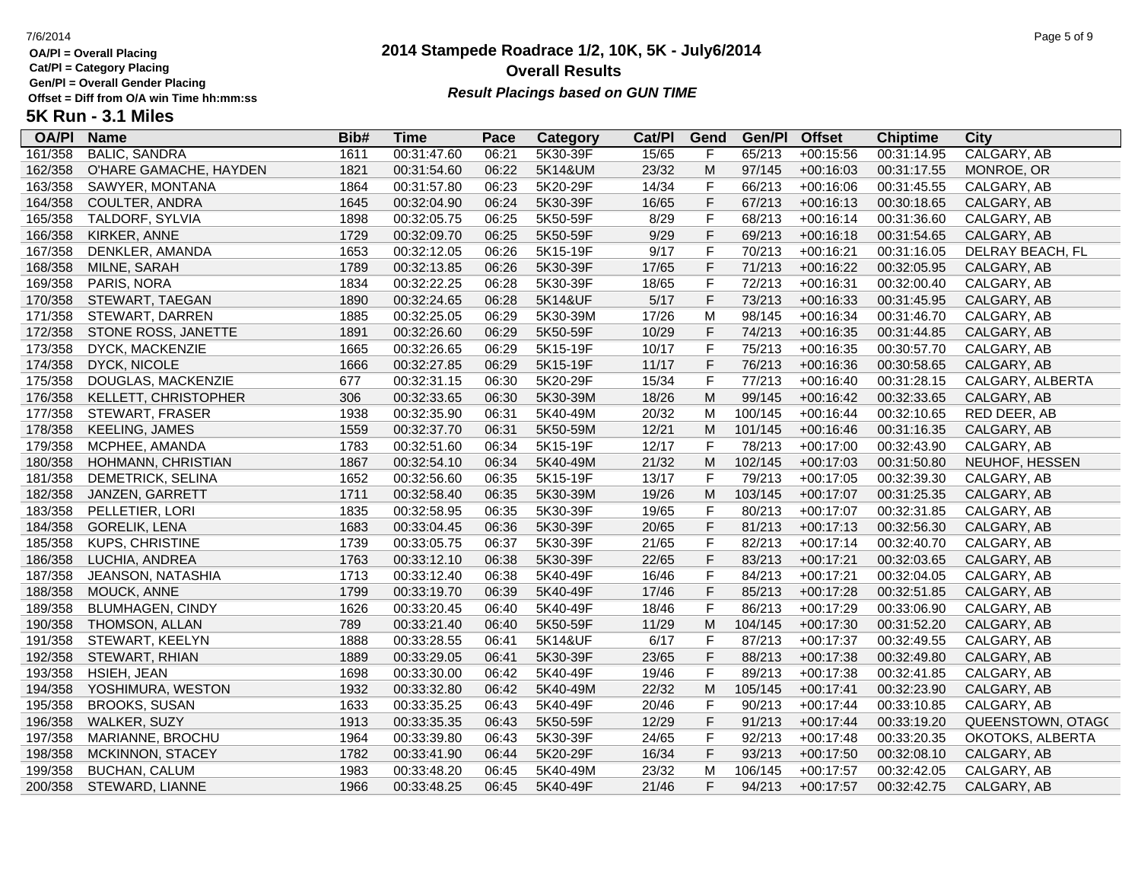**Cat/Pl = Category Placing**

**Gen/Pl = Overall Gender Placing**

# **2014 Stampede Roadrace 1/2, 10K, 5K - July6/2014** 7/6/2014 Page 5 of 9 **Overall Results Result Placings based on GUN TIME**

| <b>OA/PI</b> | <b>Name</b>             | Bib# | Time        | Pace  | <b>Category</b> | Cat/PI | Gend | Gen/Pl  | <b>Offset</b> | <b>Chiptime</b> | City              |
|--------------|-------------------------|------|-------------|-------|-----------------|--------|------|---------|---------------|-----------------|-------------------|
| 161/358      | <b>BALIC, SANDRA</b>    | 1611 | 00:31:47.60 | 06:21 | 5K30-39F        | 15/65  | F    | 65/213  | $+00:15:56$   | 00:31:14.95     | CALGARY, AB       |
| 162/358      | O'HARE GAMACHE, HAYDEN  | 1821 | 00:31:54.60 | 06:22 | 5K14&UM         | 23/32  | M    | 97/145  | $+00:16:03$   | 00:31:17.55     | MONROE, OR        |
| 163/358      | SAWYER, MONTANA         | 1864 | 00:31:57.80 | 06:23 | 5K20-29F        | 14/34  | F    | 66/213  | $+00:16:06$   | 00:31:45.55     | CALGARY, AB       |
| 164/358      | COULTER, ANDRA          | 1645 | 00:32:04.90 | 06:24 | 5K30-39F        | 16/65  | F    | 67/213  | $+00:16:13$   | 00:30:18.65     | CALGARY, AB       |
| 165/358      | TALDORF, SYLVIA         | 1898 | 00:32:05.75 | 06:25 | 5K50-59F        | 8/29   | F    | 68/213  | $+00:16:14$   | 00:31:36.60     | CALGARY, AB       |
| 166/358      | KIRKER, ANNE            | 1729 | 00:32:09.70 | 06:25 | 5K50-59F        | 9/29   | F    | 69/213  | $+00:16:18$   | 00:31:54.65     | CALGARY, AB       |
| 167/358      | DENKLER, AMANDA         | 1653 | 00:32:12.05 | 06:26 | 5K15-19F        | 9/17   | F    | 70/213  | $+00:16:21$   | 00:31:16.05     | DELRAY BEACH, FL  |
| 168/358      | MILNE, SARAH            | 1789 | 00:32:13.85 | 06:26 | 5K30-39F        | 17/65  | F    | 71/213  | $+00:16:22$   | 00:32:05.95     | CALGARY, AB       |
| 169/358      | PARIS, NORA             | 1834 | 00:32:22.25 | 06:28 | 5K30-39F        | 18/65  | F    | 72/213  | $+00:16:31$   | 00:32:00.40     | CALGARY, AB       |
| 170/358      | STEWART, TAEGAN         | 1890 | 00:32:24.65 | 06:28 | 5K14&UF         | 5/17   | F    | 73/213  | $+00:16:33$   | 00:31:45.95     | CALGARY, AB       |
| 171/358      | STEWART, DARREN         | 1885 | 00:32:25.05 | 06:29 | 5K30-39M        | 17/26  | M    | 98/145  | $+00:16:34$   | 00:31:46.70     | CALGARY, AB       |
| 172/358      | STONE ROSS, JANETTE     | 1891 | 00:32:26.60 | 06:29 | 5K50-59F        | 10/29  | F    | 74/213  | $+00:16:35$   | 00:31:44.85     | CALGARY, AB       |
| 173/358      | DYCK, MACKENZIE         | 1665 | 00:32:26.65 | 06:29 | 5K15-19F        | 10/17  | F    | 75/213  | $+00:16:35$   | 00:30:57.70     | CALGARY, AB       |
| 174/358      | <b>DYCK, NICOLE</b>     | 1666 | 00:32:27.85 | 06:29 | 5K15-19F        | 11/17  | F.   | 76/213  | $+00:16:36$   | 00:30:58.65     | CALGARY, AB       |
| 175/358      | DOUGLAS, MACKENZIE      | 677  | 00:32:31.15 | 06:30 | 5K20-29F        | 15/34  | F    | 77/213  | $+00:16:40$   | 00:31:28.15     | CALGARY, ALBERTA  |
| 176/358      | KELLETT, CHRISTOPHER    | 306  | 00:32:33.65 | 06:30 | 5K30-39M        | 18/26  | M    | 99/145  | $+00:16:42$   | 00:32:33.65     | CALGARY, AB       |
| 177/358      | STEWART, FRASER         | 1938 | 00:32:35.90 | 06:31 | 5K40-49M        | 20/32  | M    | 100/145 | $+00:16:44$   | 00:32:10.65     | RED DEER, AB      |
| 178/358      | <b>KEELING, JAMES</b>   | 1559 | 00:32:37.70 | 06:31 | 5K50-59M        | 12/21  | M    | 101/145 | $+00:16:46$   | 00:31:16.35     | CALGARY, AB       |
| 179/358      | MCPHEE, AMANDA          | 1783 | 00:32:51.60 | 06:34 | 5K15-19F        | 12/17  | F    | 78/213  | $+00:17:00$   | 00:32:43.90     | CALGARY, AB       |
| 180/358      | HOHMANN, CHRISTIAN      | 1867 | 00:32:54.10 | 06:34 | 5K40-49M        | 21/32  | M    | 102/145 | $+00:17:03$   | 00:31:50.80     | NEUHOF, HESSEN    |
| 181/358      | DEMETRICK, SELINA       | 1652 | 00:32:56.60 | 06:35 | 5K15-19F        | 13/17  | F    | 79/213  | $+00:17:05$   | 00:32:39.30     | CALGARY, AB       |
| 182/358      | JANZEN, GARRETT         | 1711 | 00:32:58.40 | 06:35 | 5K30-39M        | 19/26  | M    | 103/145 | $+00:17:07$   | 00:31:25.35     | CALGARY, AB       |
| 183/358      | PELLETIER, LORI         | 1835 | 00:32:58.95 | 06:35 | 5K30-39F        | 19/65  | F    | 80/213  | $+00:17:07$   | 00:32:31.85     | CALGARY, AB       |
| 184/358      | <b>GORELIK, LENA</b>    | 1683 | 00:33:04.45 | 06:36 | 5K30-39F        | 20/65  | F    | 81/213  | $+00:17:13$   | 00:32:56.30     | CALGARY, AB       |
| 185/358      | <b>KUPS, CHRISTINE</b>  | 1739 | 00:33:05.75 | 06:37 | 5K30-39F        | 21/65  | F    | 82/213  | $+00:17:14$   | 00:32:40.70     | CALGARY, AB       |
| 186/358      | LUCHIA, ANDREA          | 1763 | 00:33:12.10 | 06:38 | 5K30-39F        | 22/65  | F    | 83/213  | $+00:17:21$   | 00:32:03.65     | CALGARY, AB       |
| 187/358      | JEANSON, NATASHIA       | 1713 | 00:33:12.40 | 06:38 | 5K40-49F        | 16/46  | F    | 84/213  | $+00:17:21$   | 00:32:04.05     | CALGARY, AB       |
| 188/358      | MOUCK, ANNE             | 1799 | 00:33:19.70 | 06:39 | 5K40-49F        | 17/46  | F    | 85/213  | $+00:17:28$   | 00:32:51.85     | CALGARY, AB       |
| 189/358      | <b>BLUMHAGEN, CINDY</b> | 1626 | 00:33:20.45 | 06:40 | 5K40-49F        | 18/46  | F    | 86/213  | $+00:17:29$   | 00:33:06.90     | CALGARY, AB       |
| 190/358      | THOMSON, ALLAN          | 789  | 00:33:21.40 | 06:40 | 5K50-59F        | 11/29  | M    | 104/145 | $+00:17:30$   | 00:31:52.20     | CALGARY, AB       |
| 191/358      | STEWART, KEELYN         | 1888 | 00:33:28.55 | 06:41 | 5K14&UF         | 6/17   | F    | 87/213  | $+00:17:37$   | 00:32:49.55     | CALGARY, AB       |
| 192/358      | STEWART, RHIAN          | 1889 | 00:33:29.05 | 06:41 | 5K30-39F        | 23/65  | F    | 88/213  | $+00:17:38$   | 00:32:49.80     | CALGARY, AB       |
| 193/358      | HSIEH, JEAN             | 1698 | 00:33:30.00 | 06:42 | 5K40-49F        | 19/46  | F    | 89/213  | $+00:17:38$   | 00:32:41.85     | CALGARY, AB       |
| 194/358      | YOSHIMURA, WESTON       | 1932 | 00:33:32.80 | 06:42 | 5K40-49M        | 22/32  | M    | 105/145 | $+00:17:41$   | 00:32:23.90     | CALGARY, AB       |
| 195/358      | <b>BROOKS, SUSAN</b>    | 1633 | 00:33:35.25 | 06:43 | 5K40-49F        | 20/46  | F    | 90/213  | $+00:17:44$   | 00:33:10.85     | CALGARY, AB       |
| 196/358      | WALKER, SUZY            | 1913 | 00:33:35.35 | 06:43 | 5K50-59F        | 12/29  | F    | 91/213  | $+00:17:44$   | 00:33:19.20     | QUEENSTOWN, OTAG( |
| 197/358      | MARIANNE, BROCHU        | 1964 | 00:33:39.80 | 06:43 | 5K30-39F        | 24/65  | F    | 92/213  | $+00:17:48$   | 00:33:20.35     | OKOTOKS, ALBERTA  |
| 198/358      | MCKINNON, STACEY        | 1782 | 00:33:41.90 | 06:44 | 5K20-29F        | 16/34  | F    | 93/213  | $+00:17:50$   | 00:32:08.10     | CALGARY, AB       |
| 199/358      | <b>BUCHAN, CALUM</b>    | 1983 | 00:33:48.20 | 06:45 | 5K40-49M        | 23/32  | M    | 106/145 | $+00:17:57$   | 00:32:42.05     | CALGARY, AB       |
| 200/358      | STEWARD, LIANNE         | 1966 | 00:33:48.25 | 06:45 | 5K40-49F        | 21/46  | F.   | 94/213  | $+00:17:57$   | 00:32:42.75     | CALGARY, AB       |
|              |                         |      |             |       |                 |        |      |         |               |                 |                   |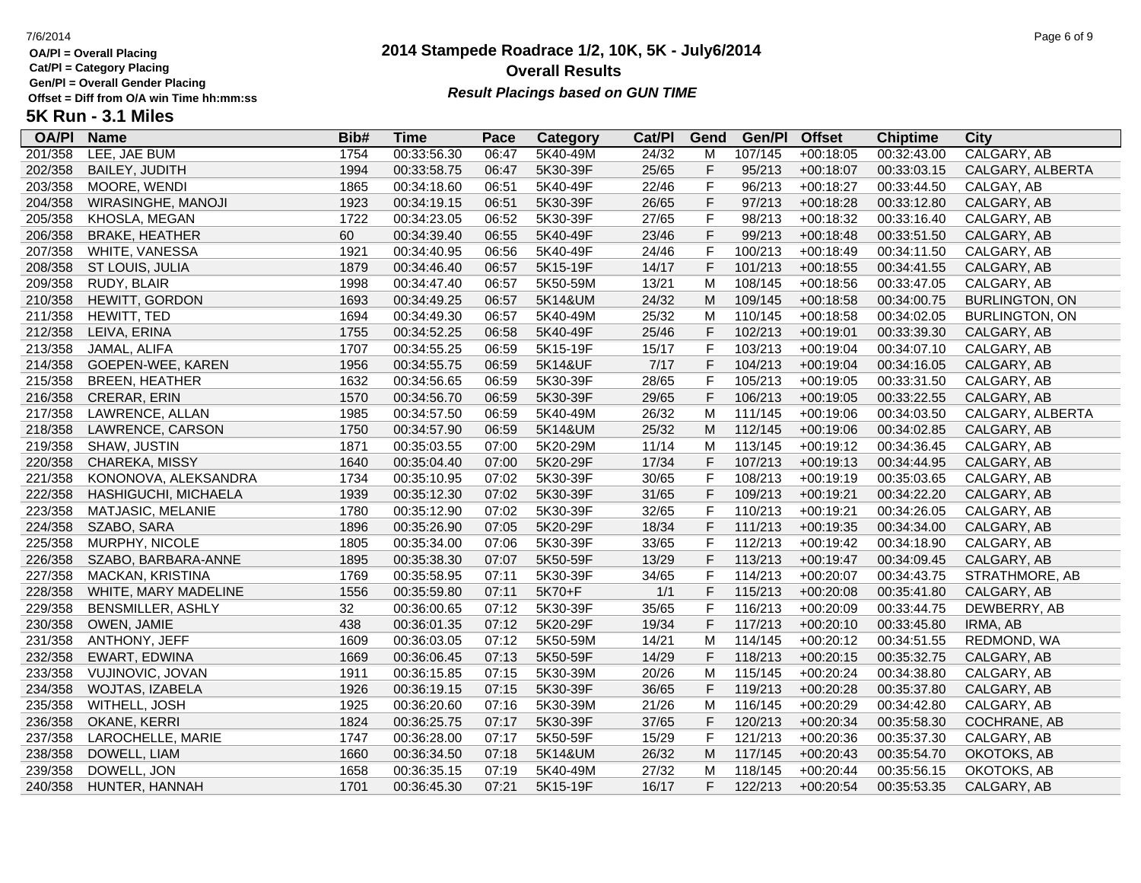**Cat/Pl = Category Placing**

**Gen/Pl = Overall Gender Placing**

# **2014 Stampede Roadrace 1/2, 10K, 5K - July6/2014** 7/6/2014 Page 6 of 9 **Overall Results Result Placings based on GUN TIME**

| <b>OA/PI</b> | <b>Name</b>              | Bib# | Time        | Pace  | <b>Category</b> | Cat/PI | Gend | Gen/Pl  | <b>Offset</b> | <b>Chiptime</b> | City                  |
|--------------|--------------------------|------|-------------|-------|-----------------|--------|------|---------|---------------|-----------------|-----------------------|
| 201/358      | LEE, JAE BUM             | 1754 | 00:33:56.30 | 06:47 | 5K40-49M        | 24/32  | M    | 107/145 | $+00:18:05$   | 00:32:43.00     | CALGARY, AB           |
| 202/358      | <b>BAILEY, JUDITH</b>    | 1994 | 00:33:58.75 | 06:47 | 5K30-39F        | 25/65  | F    | 95/213  | $+00:18:07$   | 00:33:03.15     | CALGARY, ALBERTA      |
| 203/358      | MOORE, WENDI             | 1865 | 00:34:18.60 | 06:51 | 5K40-49F        | 22/46  | F    | 96/213  | $+00:18:27$   | 00:33:44.50     | CALGAY, AB            |
| 204/358      | WIRASINGHE, MANOJI       | 1923 | 00:34:19.15 | 06:51 | 5K30-39F        | 26/65  | F    | 97/213  | $+00:18:28$   | 00:33:12.80     | CALGARY, AB           |
| 205/358      | KHOSLA, MEGAN            | 1722 | 00:34:23.05 | 06:52 | 5K30-39F        | 27/65  | F    | 98/213  | $+00:18:32$   | 00:33:16.40     | CALGARY, AB           |
| 206/358      | <b>BRAKE, HEATHER</b>    | 60   | 00:34:39.40 | 06:55 | 5K40-49F        | 23/46  | F    | 99/213  | $+00:18:48$   | 00:33:51.50     | CALGARY, AB           |
| 207/358      | WHITE, VANESSA           | 1921 | 00:34:40.95 | 06:56 | 5K40-49F        | 24/46  | F    | 100/213 | $+00:18:49$   | 00:34:11.50     | CALGARY, AB           |
| 208/358      | ST LOUIS, JULIA          | 1879 | 00:34:46.40 | 06:57 | 5K15-19F        | 14/17  | F    | 101/213 | $+00:18:55$   | 00:34:41.55     | CALGARY, AB           |
| 209/358      | RUDY, BLAIR              | 1998 | 00:34:47.40 | 06:57 | 5K50-59M        | 13/21  | M    | 108/145 | $+00:18:56$   | 00:33:47.05     | CALGARY, AB           |
| 210/358      | HEWITT, GORDON           | 1693 | 00:34:49.25 | 06:57 | 5K14&UM         | 24/32  | M    | 109/145 | $+00:18:58$   | 00:34:00.75     | <b>BURLINGTON, ON</b> |
| 211/358      | HEWITT, TED              | 1694 | 00:34:49.30 | 06:57 | 5K40-49M        | 25/32  | M    | 110/145 | $+00:18:58$   | 00:34:02.05     | <b>BURLINGTON, ON</b> |
| 212/358      | LEIVA, ERINA             | 1755 | 00:34:52.25 | 06:58 | 5K40-49F        | 25/46  | F    | 102/213 | $+00:19:01$   | 00:33:39.30     | CALGARY, AB           |
| 213/358      | JAMAL, ALIFA             | 1707 | 00:34:55.25 | 06:59 | 5K15-19F        | 15/17  | F    | 103/213 | $+00:19:04$   | 00:34:07.10     | CALGARY, AB           |
| 214/358      | GOEPEN-WEE, KAREN        | 1956 | 00:34:55.75 | 06:59 | 5K14&UF         | $7/17$ | F    | 104/213 | $+00:19:04$   | 00:34:16.05     | CALGARY, AB           |
| 215/358      | <b>BREEN, HEATHER</b>    | 1632 | 00:34:56.65 | 06:59 | 5K30-39F        | 28/65  | F    | 105/213 | $+00:19:05$   | 00:33:31.50     | CALGARY, AB           |
| 216/358      | CRERAR, ERIN             | 1570 | 00:34:56.70 | 06:59 | 5K30-39F        | 29/65  | F    | 106/213 | $+00:19:05$   | 00:33:22.55     | CALGARY, AB           |
| 217/358      | LAWRENCE, ALLAN          | 1985 | 00:34:57.50 | 06:59 | 5K40-49M        | 26/32  | M    | 111/145 | $+00:19:06$   | 00:34:03.50     | CALGARY, ALBERTA      |
| 218/358      | LAWRENCE, CARSON         | 1750 | 00:34:57.90 | 06:59 | 5K14&UM         | 25/32  | M    | 112/145 | $+00:19:06$   | 00:34:02.85     | CALGARY, AB           |
| 219/358      | SHAW, JUSTIN             | 1871 | 00:35:03.55 | 07:00 | 5K20-29M        | 11/14  | M    | 113/145 | $+00:19:12$   | 00:34:36.45     | CALGARY, AB           |
| 220/358      | CHAREKA, MISSY           | 1640 | 00:35:04.40 | 07:00 | 5K20-29F        | 17/34  | F    | 107/213 | $+00:19:13$   | 00:34:44.95     | CALGARY, AB           |
| 221/358      | KONONOVA, ALEKSANDRA     | 1734 | 00:35:10.95 | 07:02 | 5K30-39F        | 30/65  | F    | 108/213 | $+00:19:19$   | 00:35:03.65     | CALGARY, AB           |
| 222/358      | HASHIGUCHI, MICHAELA     | 1939 | 00:35:12.30 | 07:02 | 5K30-39F        | 31/65  | F    | 109/213 | $+00:19:21$   | 00:34:22.20     | CALGARY, AB           |
| 223/358      | MATJASIC, MELANIE        | 1780 | 00:35:12.90 | 07:02 | 5K30-39F        | 32/65  | F    | 110/213 | $+00:19:21$   | 00:34:26.05     | CALGARY, AB           |
| 224/358      | SZABO, SARA              | 1896 | 00:35:26.90 | 07:05 | 5K20-29F        | 18/34  | F    | 111/213 | $+00:19:35$   | 00:34:34.00     | CALGARY, AB           |
| 225/358      | MURPHY, NICOLE           | 1805 | 00:35:34.00 | 07:06 | 5K30-39F        | 33/65  | F    | 112/213 | $+00:19:42$   | 00:34:18.90     | CALGARY, AB           |
| 226/358      | SZABO, BARBARA-ANNE      | 1895 | 00:35:38.30 | 07:07 | 5K50-59F        | 13/29  | F    | 113/213 | $+00:19:47$   | 00:34:09.45     | CALGARY, AB           |
| 227/358      | MACKAN, KRISTINA         | 1769 | 00:35:58.95 | 07:11 | 5K30-39F        | 34/65  | F    | 114/213 | $+00:20:07$   | 00:34:43.75     | STRATHMORE, AB        |
| 228/358      | WHITE, MARY MADELINE     | 1556 | 00:35:59.80 | 07:11 | 5K70+F          | 1/1    | F    | 115/213 | $+00:20:08$   | 00:35:41.80     | CALGARY, AB           |
| 229/358      | <b>BENSMILLER, ASHLY</b> | 32   | 00:36:00.65 | 07:12 | 5K30-39F        | 35/65  | F    | 116/213 | $+00:20:09$   | 00:33:44.75     | DEWBERRY, AB          |
| 230/358      | OWEN, JAMIE              | 438  | 00:36:01.35 | 07:12 | 5K20-29F        | 19/34  | F    | 117/213 | $+00:20:10$   | 00:33:45.80     | IRMA, AB              |
| 231/358      | ANTHONY, JEFF            | 1609 | 00:36:03.05 | 07:12 | 5K50-59M        | 14/21  | M    | 114/145 | $+00:20:12$   | 00:34:51.55     | REDMOND, WA           |
| 232/358      | <b>EWART, EDWINA</b>     | 1669 | 00:36:06.45 | 07:13 | 5K50-59F        | 14/29  | F    | 118/213 | $+00:20:15$   | 00:35:32.75     | CALGARY, AB           |
| 233/358      | VUJINOVIC, JOVAN         | 1911 | 00:36:15.85 | 07:15 | 5K30-39M        | 20/26  | M    | 115/145 | $+00:20:24$   | 00:34:38.80     | CALGARY, AB           |
| 234/358      | WOJTAS, IZABELA          | 1926 | 00:36:19.15 | 07:15 | 5K30-39F        | 36/65  | F    | 119/213 | $+00:20:28$   | 00:35:37.80     | CALGARY, AB           |
| 235/358      | WITHELL, JOSH            | 1925 | 00:36:20.60 | 07:16 | 5K30-39M        | 21/26  | M    | 116/145 | $+00:20:29$   | 00:34:42.80     | CALGARY, AB           |
| 236/358      | OKANE, KERRI             | 1824 | 00:36:25.75 | 07:17 | 5K30-39F        | 37/65  | F    | 120/213 | $+00:20:34$   | 00:35:58.30     | COCHRANE, AB          |
| 237/358      | LAROCHELLE, MARIE        | 1747 | 00:36:28.00 | 07:17 | 5K50-59F        | 15/29  | F    | 121/213 | $+00:20:36$   | 00:35:37.30     | CALGARY, AB           |
| 238/358      | DOWELL, LIAM             | 1660 | 00:36:34.50 | 07:18 | 5K14&UM         | 26/32  | M    | 117/145 | $+00:20:43$   | 00:35:54.70     | OKOTOKS, AB           |
| 239/358      | DOWELL, JON              | 1658 | 00:36:35.15 | 07:19 | 5K40-49M        | 27/32  | м    | 118/145 | $+00:20:44$   | 00:35:56.15     | OKOTOKS, AB           |
| 240/358      | HUNTER, HANNAH           | 1701 | 00:36:45.30 | 07:21 | 5K15-19F        | 16/17  | F.   | 122/213 | $+00:20:54$   | 00:35:53.35     | CALGARY, AB           |
|              |                          |      |             |       |                 |        |      |         |               |                 |                       |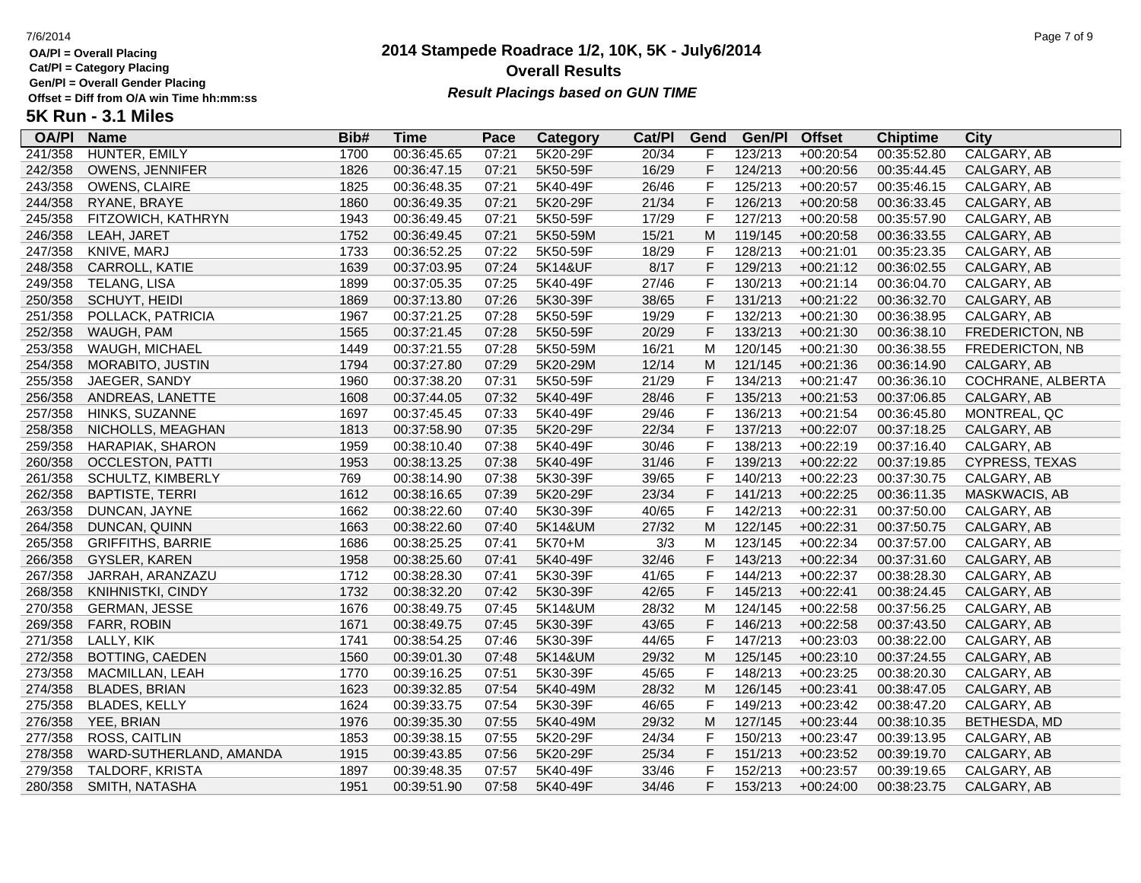**Cat/Pl = Category Placing**

**Gen/Pl = Overall Gender Placing**

# **2014 Stampede Roadrace 1/2, 10K, 5K - July6/2014** 7/6/2014 Page 7 of 9 **Overall Results Result Placings based on GUN TIME**

| <b>OA/PI</b> | <b>Name</b>              | Bib# | Time        | Pace  | <b>Category</b> | Cat/PI | Gend           | Gen/Pl  | <b>Offset</b> | <b>Chiptime</b> | City                   |
|--------------|--------------------------|------|-------------|-------|-----------------|--------|----------------|---------|---------------|-----------------|------------------------|
| 241/358      | HUNTER, EMILY            | 1700 | 00:36:45.65 | 07:21 | 5K20-29F        | 20/34  | F              | 123/213 | $+00:20:54$   | 00:35:52.80     | CALGARY, AB            |
| 242/358      | OWENS, JENNIFER          | 1826 | 00:36:47.15 | 07:21 | 5K50-59F        | 16/29  | F              | 124/213 | $+00:20:56$   | 00:35:44.45     | CALGARY, AB            |
| 243/358      | OWENS, CLAIRE            | 1825 | 00:36:48.35 | 07:21 | 5K40-49F        | 26/46  | F              | 125/213 | $+00:20:57$   | 00:35:46.15     | CALGARY, AB            |
| 244/358      | RYANE, BRAYE             | 1860 | 00:36:49.35 | 07:21 | 5K20-29F        | 21/34  | F              | 126/213 | $+00:20:58$   | 00:36:33.45     | CALGARY, AB            |
| 245/358      | FITZOWICH, KATHRYN       | 1943 | 00:36:49.45 | 07:21 | 5K50-59F        | 17/29  | $\mathsf{F}$   | 127/213 | $+00:20:58$   | 00:35:57.90     | CALGARY, AB            |
| 246/358      | LEAH, JARET              | 1752 | 00:36:49.45 | 07:21 | 5K50-59M        | 15/21  | M              | 119/145 | $+00:20:58$   | 00:36:33.55     | CALGARY, AB            |
| 247/358      | KNIVE, MARJ              | 1733 | 00:36:52.25 | 07:22 | 5K50-59F        | 18/29  | $\mathsf{F}$   | 128/213 | $+00:21:01$   | 00:35:23.35     | CALGARY, AB            |
| 248/358      | CARROLL, KATIE           | 1639 | 00:37:03.95 | 07:24 | 5K14&UF         | 8/17   | $\overline{F}$ | 129/213 | $+00:21:12$   | 00:36:02.55     | CALGARY, AB            |
| 249/358      | TELANG, LISA             | 1899 | 00:37:05.35 | 07:25 | 5K40-49F        | 27/46  | $\mathsf F$    | 130/213 | $+00:21:14$   | 00:36:04.70     | CALGARY, AB            |
| 250/358      | SCHUYT, HEIDI            | 1869 | 00:37:13.80 | 07:26 | 5K30-39F        | 38/65  | $\mathsf F$    | 131/213 | $+00:21:22$   | 00:36:32.70     | CALGARY, AB            |
| 251/358      | POLLACK, PATRICIA        | 1967 | 00:37:21.25 | 07:28 | 5K50-59F        | 19/29  | F              | 132/213 | $+00:21:30$   | 00:36:38.95     | CALGARY, AB            |
| 252/358      | WAUGH, PAM               | 1565 | 00:37:21.45 | 07:28 | 5K50-59F        | 20/29  | F              | 133/213 | $+00:21:30$   | 00:36:38.10     | FREDERICTON, NB        |
| 253/358      | WAUGH, MICHAEL           | 1449 | 00:37:21.55 | 07:28 | 5K50-59M        | 16/21  | M              | 120/145 | $+00:21:30$   | 00:36:38.55     | <b>FREDERICTON, NB</b> |
| 254/358      | MORABITO, JUSTIN         | 1794 | 00:37:27.80 | 07:29 | 5K20-29M        | 12/14  | M              | 121/145 | $+00:21:36$   | 00:36:14.90     | CALGARY, AB            |
| 255/358      | JAEGER, SANDY            | 1960 | 00:37:38.20 | 07:31 | 5K50-59F        | 21/29  | $\mathsf F$    | 134/213 | $+00:21:47$   | 00:36:36.10     | COCHRANE, ALBERTA      |
| 256/358      | ANDREAS, LANETTE         | 1608 | 00:37:44.05 | 07:32 | 5K40-49F        | 28/46  | $\mathsf F$    | 135/213 | $+00:21:53$   | 00:37:06.85     | CALGARY, AB            |
| 257/358      | HINKS, SUZANNE           | 1697 | 00:37:45.45 | 07:33 | 5K40-49F        | 29/46  | $\mathsf F$    | 136/213 | $+00:21:54$   | 00:36:45.80     | MONTREAL, QC           |
| 258/358      | NICHOLLS, MEAGHAN        | 1813 | 00:37:58.90 | 07:35 | 5K20-29F        | 22/34  | F              | 137/213 | $+00:22:07$   | 00:37:18.25     | CALGARY, AB            |
| 259/358      | HARAPIAK, SHARON         | 1959 | 00:38:10.40 | 07:38 | 5K40-49F        | 30/46  | $\mathsf{F}$   | 138/213 | $+00:22:19$   | 00:37:16.40     | CALGARY, AB            |
| 260/358      | <b>OCCLESTON, PATTI</b>  | 1953 | 00:38:13.25 | 07:38 | 5K40-49F        | 31/46  | $\mathsf{F}$   | 139/213 | $+00:22:22$   | 00:37:19.85     | CYPRESS, TEXAS         |
| 261/358      | SCHULTZ, KIMBERLY        | 769  | 00:38:14.90 | 07:38 | 5K30-39F        | 39/65  | $\mathsf{F}$   | 140/213 | $+00:22:23$   | 00:37:30.75     | CALGARY, AB            |
| 262/358      | <b>BAPTISTE, TERRI</b>   | 1612 | 00:38:16.65 | 07:39 | 5K20-29F        | 23/34  | $\mathsf F$    | 141/213 | $+00:22:25$   | 00:36:11.35     | MASKWACIS, AB          |
| 263/358      | DUNCAN, JAYNE            | 1662 | 00:38:22.60 | 07:40 | 5K30-39F        | 40/65  | F              | 142/213 | $+00:22:31$   | 00:37:50.00     | CALGARY, AB            |
| 264/358      | DUNCAN, QUINN            | 1663 | 00:38:22.60 | 07:40 | 5K14&UM         | 27/32  | M              | 122/145 | $+00:22:31$   | 00:37:50.75     | CALGARY, AB            |
| 265/358      | <b>GRIFFITHS, BARRIE</b> | 1686 | 00:38:25.25 | 07:41 | 5K70+M          | 3/3    | м              | 123/145 | $+00:22:34$   | 00:37:57.00     | CALGARY, AB            |
| 266/358      | GYSLER, KAREN            | 1958 | 00:38:25.60 | 07:41 | 5K40-49F        | 32/46  | $\mathsf F$    | 143/213 | $+00:22:34$   | 00:37:31.60     | CALGARY, AB            |
| 267/358      | JARRAH, ARANZAZU         | 1712 | 00:38:28.30 | 07:41 | 5K30-39F        | 41/65  | $\mathsf{F}$   | 144/213 | $+00:22:37$   | 00:38:28.30     | CALGARY, AB            |
| 268/358      | KNIHNISTKI, CINDY        | 1732 | 00:38:32.20 | 07:42 | 5K30-39F        | 42/65  | F              | 145/213 | $+00:22:41$   | 00:38:24.45     | CALGARY, AB            |
| 270/358      | <b>GERMAN, JESSE</b>     | 1676 | 00:38:49.75 | 07:45 | 5K14&UM         | 28/32  | м              | 124/145 | $+00:22:58$   | 00:37:56.25     | CALGARY, AB            |
| 269/358      | FARR, ROBIN              | 1671 | 00:38:49.75 | 07:45 | 5K30-39F        | 43/65  | $\mathsf F$    | 146/213 | $+00:22:58$   | 00:37:43.50     | CALGARY, AB            |
| 271/358      | LALLY, KIK               | 1741 | 00:38:54.25 | 07:46 | 5K30-39F        | 44/65  | $\mathsf{F}$   | 147/213 | $+00:23:03$   | 00:38:22.00     | CALGARY, AB            |
| 272/358      | <b>BOTTING, CAEDEN</b>   | 1560 | 00:39:01.30 | 07:48 | 5K14&UM         | 29/32  | M              | 125/145 | $+00:23:10$   | 00:37:24.55     | CALGARY, AB            |
| 273/358      | MACMILLAN, LEAH          | 1770 | 00:39:16.25 | 07:51 | 5K30-39F        | 45/65  | $\mathsf{F}$   | 148/213 | $+00:23:25$   | 00:38:20.30     | CALGARY, AB            |
| 274/358      | <b>BLADES, BRIAN</b>     | 1623 | 00:39:32.85 | 07:54 | 5K40-49M        | 28/32  | M              | 126/145 | $+00:23:41$   | 00:38:47.05     | CALGARY, AB            |
| 275/358      | <b>BLADES, KELLY</b>     | 1624 | 00:39:33.75 | 07:54 | 5K30-39F        | 46/65  | $\mathsf{F}$   | 149/213 | $+00:23:42$   | 00:38:47.20     | CALGARY, AB            |
| 276/358      | YEE, BRIAN               | 1976 | 00:39:35.30 | 07:55 | 5K40-49M        | 29/32  | M              | 127/145 | $+00:23:44$   | 00:38:10.35     | BETHESDA, MD           |
| 277/358      | ROSS, CAITLIN            | 1853 | 00:39:38.15 | 07:55 | 5K20-29F        | 24/34  | F              | 150/213 | $+00:23:47$   | 00:39:13.95     | CALGARY, AB            |
| 278/358      | WARD-SUTHERLAND, AMANDA  | 1915 | 00:39:43.85 | 07:56 | 5K20-29F        | 25/34  | F              | 151/213 | $+00:23:52$   | 00:39:19.70     | CALGARY, AB            |
| 279/358      | <b>TALDORF, KRISTA</b>   | 1897 | 00:39:48.35 | 07:57 | 5K40-49F        | 33/46  | $\mathsf{F}$   | 152/213 | $+00:23:57$   | 00:39:19.65     | CALGARY, AB            |
| 280/358      | SMITH, NATASHA           | 1951 | 00:39:51.90 | 07:58 | 5K40-49F        | 34/46  | F              | 153/213 | $+00:24:00$   | 00:38:23.75     | CALGARY, AB            |
|              |                          |      |             |       |                 |        |                |         |               |                 |                        |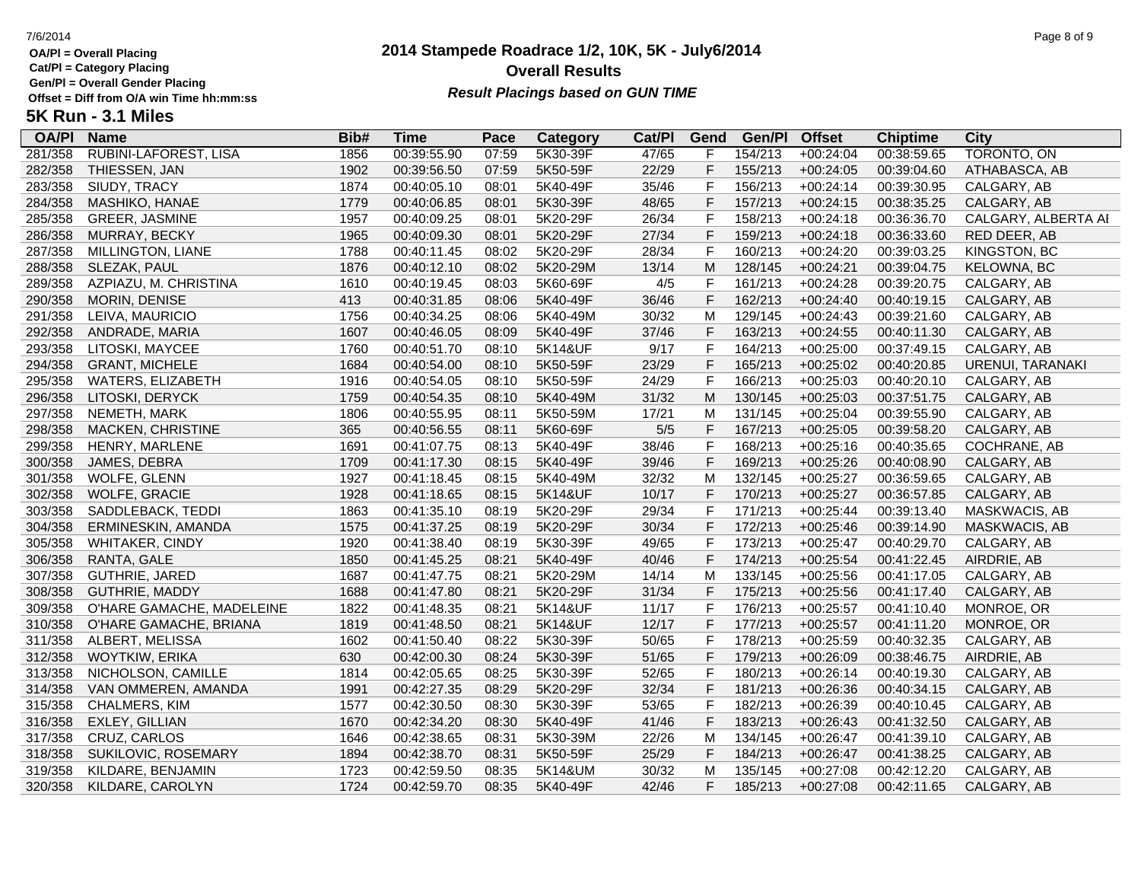**Cat/Pl = Category Placing**

**Gen/Pl = Overall Gender Placing**

# **2014 Stampede Roadrace 1/2, 10K, 5K - July6/2014** 7/6/2014 Page 8 of 9 **Overall Results Result Placings based on GUN TIME**

| <b>OA/PI</b> | <b>Name</b>               | Bib# | Time        | Pace  | Category | Cat/PI | Gend         | Gen/Pl  | <b>Offset</b> | <b>Chiptime</b> | City                |
|--------------|---------------------------|------|-------------|-------|----------|--------|--------------|---------|---------------|-----------------|---------------------|
| 281/358      | RUBINI-LAFOREST, LISA     | 1856 | 00:39:55.90 | 07:59 | 5K30-39F | 47/65  | F            | 154/213 | $+00:24:04$   | 00:38:59.65     | TORONTO, ON         |
| 282/358      | THIESSEN, JAN             | 1902 | 00:39:56.50 | 07:59 | 5K50-59F | 22/29  | F            | 155/213 | $+00:24:05$   | 00:39:04.60     | ATHABASCA, AB       |
| 283/358      | SIUDY, TRACY              | 1874 | 00:40:05.10 | 08:01 | 5K40-49F | 35/46  | F            | 156/213 | $+00:24:14$   | 00:39:30.95     | CALGARY, AB         |
| 284/358      | MASHIKO, HANAE            | 1779 | 00:40:06.85 | 08:01 | 5K30-39F | 48/65  | F            | 157/213 | $+00:24:15$   | 00:38:35.25     | CALGARY, AB         |
| 285/358      | GREER, JASMINE            | 1957 | 00:40:09.25 | 08:01 | 5K20-29F | 26/34  | F            | 158/213 | $+00:24:18$   | 00:36:36.70     | CALGARY, ALBERTA AI |
| 286/358      | MURRAY, BECKY             | 1965 | 00:40:09.30 | 08:01 | 5K20-29F | 27/34  | F            | 159/213 | $+00:24:18$   | 00:36:33.60     | RED DEER, AB        |
| 287/358      | MILLINGTON, LIANE         | 1788 | 00:40:11.45 | 08:02 | 5K20-29F | 28/34  | $\mathsf{F}$ | 160/213 | $+00:24:20$   | 00:39:03.25     | KINGSTON, BC        |
| 288/358      | SLEZAK, PAUL              | 1876 | 00:40:12.10 | 08:02 | 5K20-29M | 13/14  | ${\sf M}$    | 128/145 | $+00:24:21$   | 00:39:04.75     | KELOWNA, BC         |
| 289/358      | AZPIAZU, M. CHRISTINA     | 1610 | 00:40:19.45 | 08:03 | 5K60-69F | 4/5    | F            | 161/213 | $+00:24:28$   | 00:39:20.75     | CALGARY, AB         |
| 290/358      | MORIN, DENISE             | 413  | 00:40:31.85 | 08:06 | 5K40-49F | 36/46  | $\mathsf F$  | 162/213 | $+00:24:40$   | 00:40:19.15     | CALGARY, AB         |
| 291/358      | LEIVA, MAURICIO           | 1756 | 00:40:34.25 | 08:06 | 5K40-49M | 30/32  | M            | 129/145 | $+00:24:43$   | 00:39:21.60     | CALGARY, AB         |
| 292/358      | ANDRADE, MARIA            | 1607 | 00:40:46.05 | 08:09 | 5K40-49F | 37/46  | $\mathsf F$  | 163/213 | $+00:24:55$   | 00:40:11.30     | CALGARY, AB         |
| 293/358      | LITOSKI, MAYCEE           | 1760 | 00:40:51.70 | 08:10 | 5K14&UF  | 9/17   | F            | 164/213 | $+00:25:00$   | 00:37:49.15     | CALGARY, AB         |
| 294/358      | <b>GRANT, MICHELE</b>     | 1684 | 00:40:54.00 | 08:10 | 5K50-59F | 23/29  | F            | 165/213 | $+00:25:02$   | 00:40:20.85     | URENUI, TARANAKI    |
| 295/358      | WATERS, ELIZABETH         | 1916 | 00:40:54.05 | 08:10 | 5K50-59F | 24/29  | F            | 166/213 | $+00:25:03$   | 00:40:20.10     | CALGARY, AB         |
| 296/358      | LITOSKI, DERYCK           | 1759 | 00:40:54.35 | 08:10 | 5K40-49M | 31/32  | M            | 130/145 | $+00:25:03$   | 00:37:51.75     | CALGARY, AB         |
| 297/358      | NEMETH, MARK              | 1806 | 00:40:55.95 | 08:11 | 5K50-59M | 17/21  | M            | 131/145 | $+00:25:04$   | 00:39:55.90     | CALGARY, AB         |
| 298/358      | MACKEN, CHRISTINE         | 365  | 00:40:56.55 | 08:11 | 5K60-69F | 5/5    | F            | 167/213 | $+00:25:05$   | 00:39:58.20     | CALGARY, AB         |
| 299/358      | HENRY, MARLENE            | 1691 | 00:41:07.75 | 08:13 | 5K40-49F | 38/46  | $\mathsf F$  | 168/213 | $+00:25:16$   | 00:40:35.65     | <b>COCHRANE, AB</b> |
| 300/358      | JAMES, DEBRA              | 1709 | 00:41:17.30 | 08:15 | 5K40-49F | 39/46  | $\mathsf F$  | 169/213 | $+00:25:26$   | 00:40:08.90     | CALGARY, AB         |
| 301/358      | WOLFE, GLENN              | 1927 | 00:41:18.45 | 08:15 | 5K40-49M | 32/32  | M            | 132/145 | $+00:25:27$   | 00:36:59.65     | CALGARY, AB         |
| 302/358      | WOLFE, GRACIE             | 1928 | 00:41:18.65 | 08:15 | 5K14&UF  | 10/17  | F            | 170/213 | $+00:25:27$   | 00:36:57.85     | CALGARY, AB         |
| 303/358      | SADDLEBACK, TEDDI         | 1863 | 00:41:35.10 | 08:19 | 5K20-29F | 29/34  | F            | 171/213 | $+00:25:44$   | 00:39:13.40     | MASKWACIS, AB       |
| 304/358      | ERMINESKIN, AMANDA        | 1575 | 00:41:37.25 | 08:19 | 5K20-29F | 30/34  | $\mathsf F$  | 172/213 | $+00:25:46$   | 00:39:14.90     | MASKWACIS, AB       |
| 305/358      | WHITAKER, CINDY           | 1920 | 00:41:38.40 | 08:19 | 5K30-39F | 49/65  | $\mathsf F$  | 173/213 | $+00:25:47$   | 00:40:29.70     | CALGARY, AB         |
| 306/358      | RANTA, GALE               | 1850 | 00:41:45.25 | 08:21 | 5K40-49F | 40/46  | $\mathsf F$  | 174/213 | $+00:25:54$   | 00:41:22.45     | AIRDRIE, AB         |
| 307/358      | GUTHRIE, JARED            | 1687 | 00:41:47.75 | 08:21 | 5K20-29M | 14/14  | M            | 133/145 | $+00:25:56$   | 00:41:17.05     | CALGARY, AB         |
| 308/358      | <b>GUTHRIE, MADDY</b>     | 1688 | 00:41:47.80 | 08:21 | 5K20-29F | 31/34  | F            | 175/213 | $+00:25:56$   | 00:41:17.40     | CALGARY, AB         |
| 309/358      | O'HARE GAMACHE, MADELEINE | 1822 | 00:41:48.35 | 08:21 | 5K14&UF  | 11/17  | F            | 176/213 | $+00:25:57$   | 00:41:10.40     | MONROE, OR          |
| 310/358      | O'HARE GAMACHE, BRIANA    | 1819 | 00:41:48.50 | 08:21 | 5K14&UF  | 12/17  | F            | 177/213 | $+00:25:57$   | 00:41:11.20     | MONROE, OR          |
| 311/358      | ALBERT, MELISSA           | 1602 | 00:41:50.40 | 08:22 | 5K30-39F | 50/65  | F            | 178/213 | $+00:25:59$   | 00:40:32.35     | CALGARY, AB         |
| 312/358      | WOYTKIW, ERIKA            | 630  | 00:42:00.30 | 08:24 | 5K30-39F | 51/65  | F            | 179/213 | $+00:26:09$   | 00:38:46.75     | AIRDRIE, AB         |
| 313/358      | NICHOLSON, CAMILLE        | 1814 | 00:42:05.65 | 08:25 | 5K30-39F | 52/65  | F            | 180/213 | $+00:26:14$   | 00:40:19.30     | CALGARY, AB         |
| 314/358      | VAN OMMEREN, AMANDA       | 1991 | 00:42:27.35 | 08:29 | 5K20-29F | 32/34  | F            | 181/213 | $+00:26:36$   | 00:40:34.15     | CALGARY, AB         |
| 315/358      | CHALMERS, KIM             | 1577 | 00:42:30.50 | 08:30 | 5K30-39F | 53/65  | F            | 182/213 | +00:26:39     | 00:40:10.45     | CALGARY, AB         |
| 316/358      | EXLEY, GILLIAN            | 1670 | 00:42:34.20 | 08:30 | 5K40-49F | 41/46  | $\mathsf F$  | 183/213 | $+00:26:43$   | 00:41:32.50     | CALGARY, AB         |
| 317/358      | CRUZ, CARLOS              | 1646 | 00:42:38.65 | 08:31 | 5K30-39M | 22/26  | M            | 134/145 | $+00:26:47$   | 00:41:39.10     | CALGARY, AB         |
| 318/358      | SUKILOVIC, ROSEMARY       | 1894 | 00:42:38.70 | 08:31 | 5K50-59F | 25/29  | F            | 184/213 | $+00:26:47$   | 00:41:38.25     | CALGARY, AB         |
| 319/358      | KILDARE, BENJAMIN         | 1723 | 00:42:59.50 | 08:35 | 5K14&UM  | 30/32  | M            | 135/145 | $+00:27:08$   | 00:42:12.20     | CALGARY, AB         |
| 320/358      | KILDARE, CAROLYN          | 1724 | 00:42:59.70 | 08:35 | 5K40-49F | 42/46  | F            | 185/213 | $+00:27:08$   | 00:42:11.65     | CALGARY, AB         |
|              |                           |      |             |       |          |        |              |         |               |                 |                     |